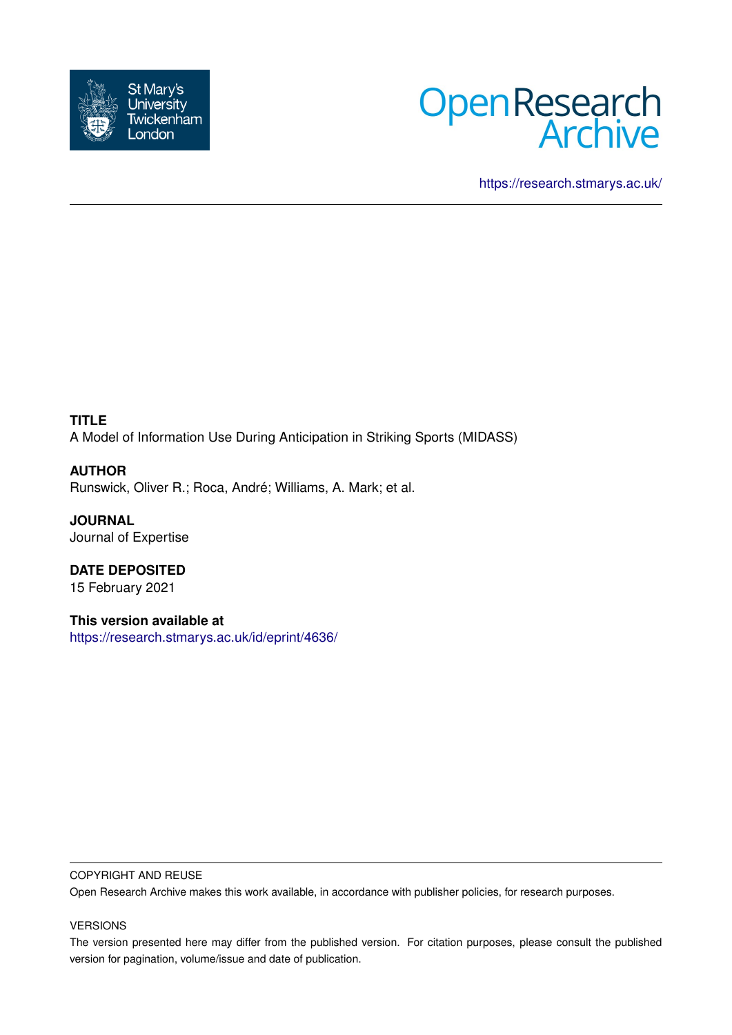



<https://research.stmarys.ac.uk/>

**TITLE** A Model of Information Use During Anticipation in Striking Sports (MIDASS)

**AUTHOR** Runswick, Oliver R.; Roca, André; Williams, A. Mark; et al.

**JOURNAL** Journal of Expertise

**DATE DEPOSITED** 15 February 2021

**This version available at** <https://research.stmarys.ac.uk/id/eprint/4636/>

### COPYRIGHT AND REUSE

Open Research Archive makes this work available, in accordance with publisher policies, for research purposes.

### VERSIONS

The version presented here may differ from the published version. For citation purposes, please consult the published version for pagination, volume/issue and date of publication.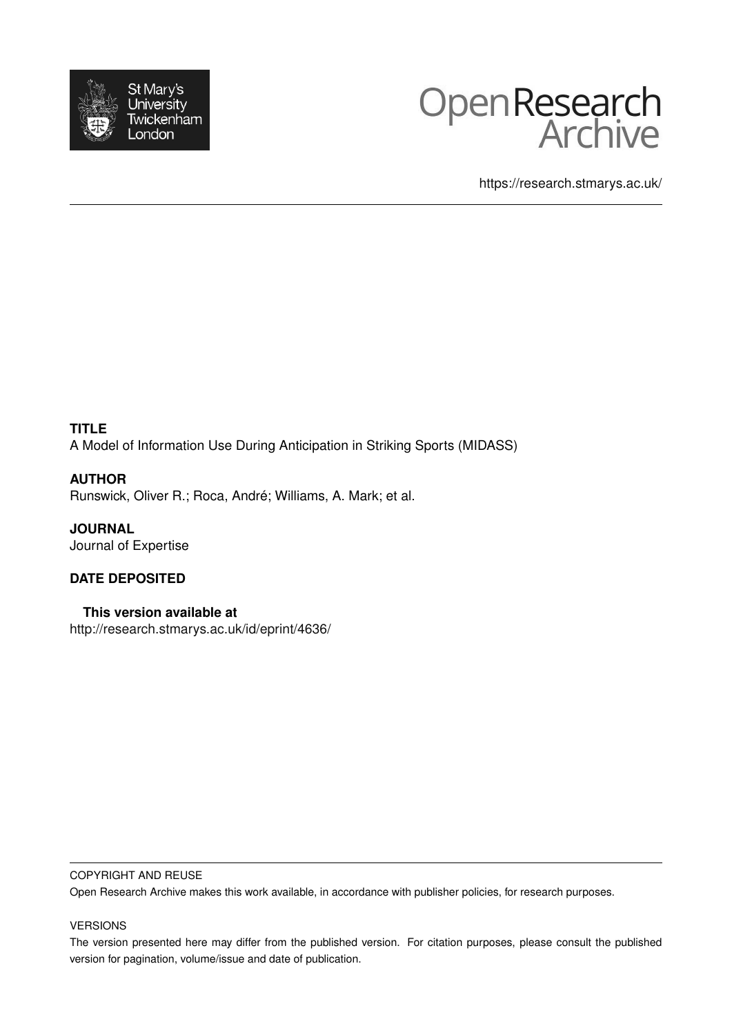



https://research.stmarys.ac.uk/

**TITLE** A Model of Information Use During Anticipation in Striking Sports (MIDASS)

## **AUTHOR**

Runswick, Oliver R.; Roca, André; Williams, A. Mark; et al.

**JOURNAL** Journal of Expertise

## **DATE DEPOSITED**

**This version available at** http://research.stmarys.ac.uk/id/eprint/4636/

#### COPYRIGHT AND REUSE

Open Research Archive makes this work available, in accordance with publisher policies, for research purposes.

### VERSIONS

The version presented here may differ from the published version. For citation purposes, please consult the published version for pagination, volume/issue and date of publication.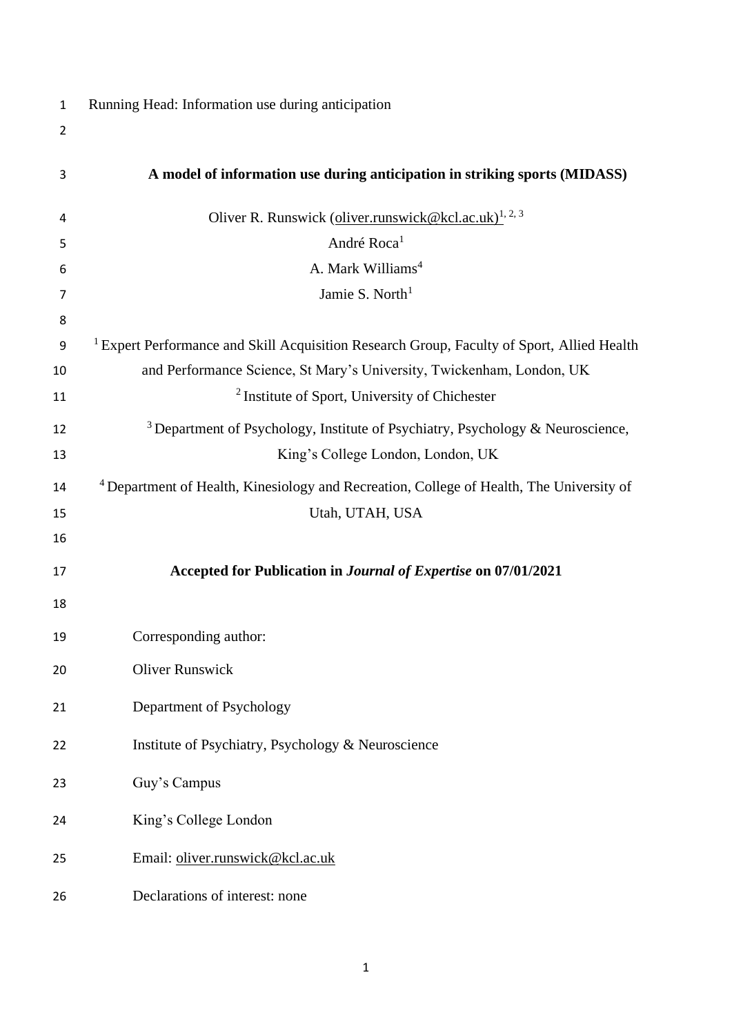| $\mathbf{1}$   | Running Head: Information use during anticipation                                                     |
|----------------|-------------------------------------------------------------------------------------------------------|
| $\overline{2}$ |                                                                                                       |
| 3              | A model of information use during anticipation in striking sports (MIDASS)                            |
| 4              | Oliver R. Runswick (oliver.runswick@kcl.ac.uk) <sup>1, 2, 3</sup>                                     |
| 5              | André Roca <sup>1</sup>                                                                               |
| 6              | A. Mark Williams <sup>4</sup>                                                                         |
| 7              | Jamie S. North <sup>1</sup>                                                                           |
| 8              |                                                                                                       |
| 9              | <sup>1</sup> Expert Performance and Skill Acquisition Research Group, Faculty of Sport, Allied Health |
| 10             | and Performance Science, St Mary's University, Twickenham, London, UK                                 |
| 11             | <sup>2</sup> Institute of Sport, University of Chichester                                             |
| 12             | <sup>3</sup> Department of Psychology, Institute of Psychiatry, Psychology & Neuroscience,            |
| 13             | King's College London, London, UK                                                                     |
| 14             | <sup>4</sup> Department of Health, Kinesiology and Recreation, College of Health, The University of   |
| 15             | Utah, UTAH, USA                                                                                       |
| 16             |                                                                                                       |
| 17             | Accepted for Publication in Journal of Expertise on 07/01/2021                                        |
| 18             |                                                                                                       |
| 19             | Corresponding author:                                                                                 |
| 20             | <b>Oliver Runswick</b>                                                                                |
| 21             | Department of Psychology                                                                              |
| 22             | Institute of Psychiatry, Psychology & Neuroscience                                                    |
| 23             | Guy's Campus                                                                                          |
| 24             | King's College London                                                                                 |
| 25             | Email: oliver.runswick@kcl.ac.uk                                                                      |
| 26             | Declarations of interest: none                                                                        |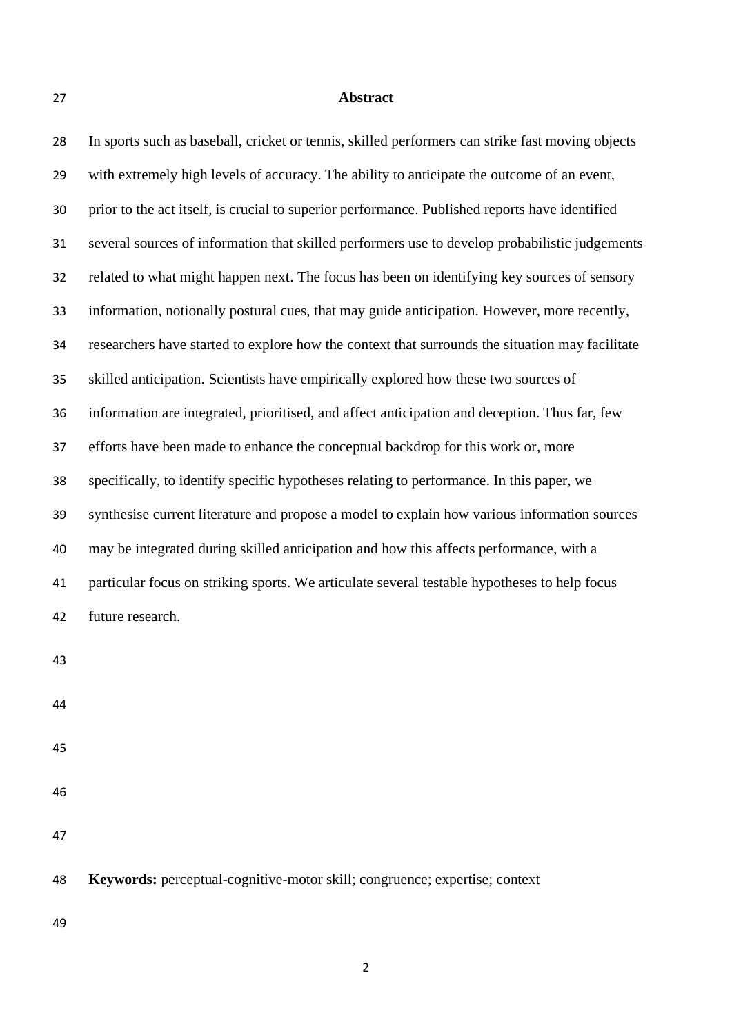# **Abstract**

| 28 | In sports such as baseball, cricket or tennis, skilled performers can strike fast moving objects |
|----|--------------------------------------------------------------------------------------------------|
| 29 | with extremely high levels of accuracy. The ability to anticipate the outcome of an event,       |
| 30 | prior to the act itself, is crucial to superior performance. Published reports have identified   |
| 31 | several sources of information that skilled performers use to develop probabilistic judgements   |
| 32 | related to what might happen next. The focus has been on identifying key sources of sensory      |
| 33 | information, notionally postural cues, that may guide anticipation. However, more recently,      |
| 34 | researchers have started to explore how the context that surrounds the situation may facilitate  |
| 35 | skilled anticipation. Scientists have empirically explored how these two sources of              |
| 36 | information are integrated, prioritised, and affect anticipation and deception. Thus far, few    |
| 37 | efforts have been made to enhance the conceptual backdrop for this work or, more                 |
| 38 | specifically, to identify specific hypotheses relating to performance. In this paper, we         |
| 39 | synthesise current literature and propose a model to explain how various information sources     |
| 40 | may be integrated during skilled anticipation and how this affects performance, with a           |
| 41 | particular focus on striking sports. We articulate several testable hypotheses to help focus     |
| 42 | future research.                                                                                 |
| 43 |                                                                                                  |
|    |                                                                                                  |
| 44 |                                                                                                  |
| 45 |                                                                                                  |
| 46 |                                                                                                  |
| 47 |                                                                                                  |
|    |                                                                                                  |
| 48 | Keywords: perceptual-cognitive-motor skill; congruence; expertise; context                       |
|    |                                                                                                  |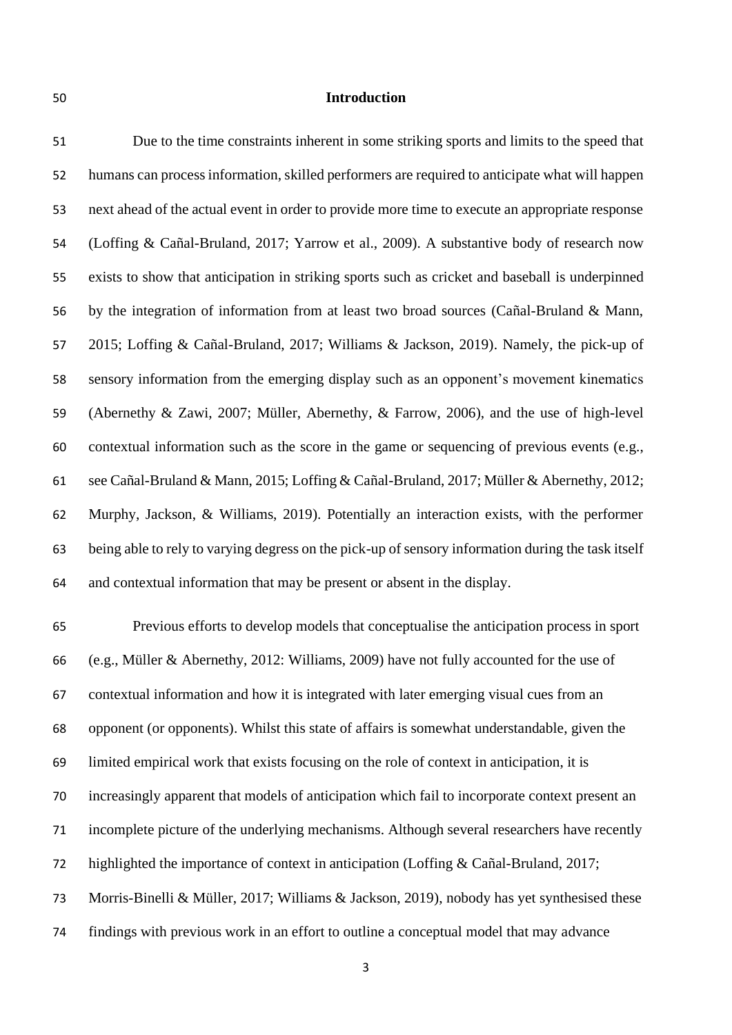#### **Introduction**

 Due to the time constraints inherent in some striking sports and limits to the speed that humans can process information, skilled performers are required to anticipate what will happen next ahead of the actual event in order to provide more time to execute an appropriate response (Loffing & Cañal-Bruland, 2017; Yarrow et al., 2009). A substantive body of research now exists to show that anticipation in striking sports such as cricket and baseball is underpinned by the integration of information from at least two broad sources (Cañal-Bruland & Mann, 2015; Loffing & Cañal-Bruland, 2017; Williams & Jackson, 2019). Namely, the pick-up of sensory information from the emerging display such as an opponent's movement kinematics (Abernethy & Zawi, 2007; Müller, Abernethy, & Farrow, 2006), and the use of high-level contextual information such as the score in the game or sequencing of previous events (e.g., see Cañal-Bruland & Mann, 2015; Loffing & Cañal-Bruland, 2017; Müller & Abernethy, 2012; Murphy, Jackson, & Williams, 2019). Potentially an interaction exists, with the performer being able to rely to varying degress on the pick-up of sensory information during the task itself and contextual information that may be present or absent in the display.

 Previous efforts to develop models that conceptualise the anticipation process in sport (e.g., Müller & Abernethy, 2012: Williams, 2009) have not fully accounted for the use of contextual information and how it is integrated with later emerging visual cues from an opponent (or opponents). Whilst this state of affairs is somewhat understandable, given the limited empirical work that exists focusing on the role of context in anticipation, it is increasingly apparent that models of anticipation which fail to incorporate context present an incomplete picture of the underlying mechanisms. Although several researchers have recently highlighted the importance of context in anticipation (Loffing & Cañal-Bruland, 2017; Morris-Binelli & Müller, 2017; Williams & Jackson, 2019), nobody has yet synthesised these findings with previous work in an effort to outline a conceptual model that may advance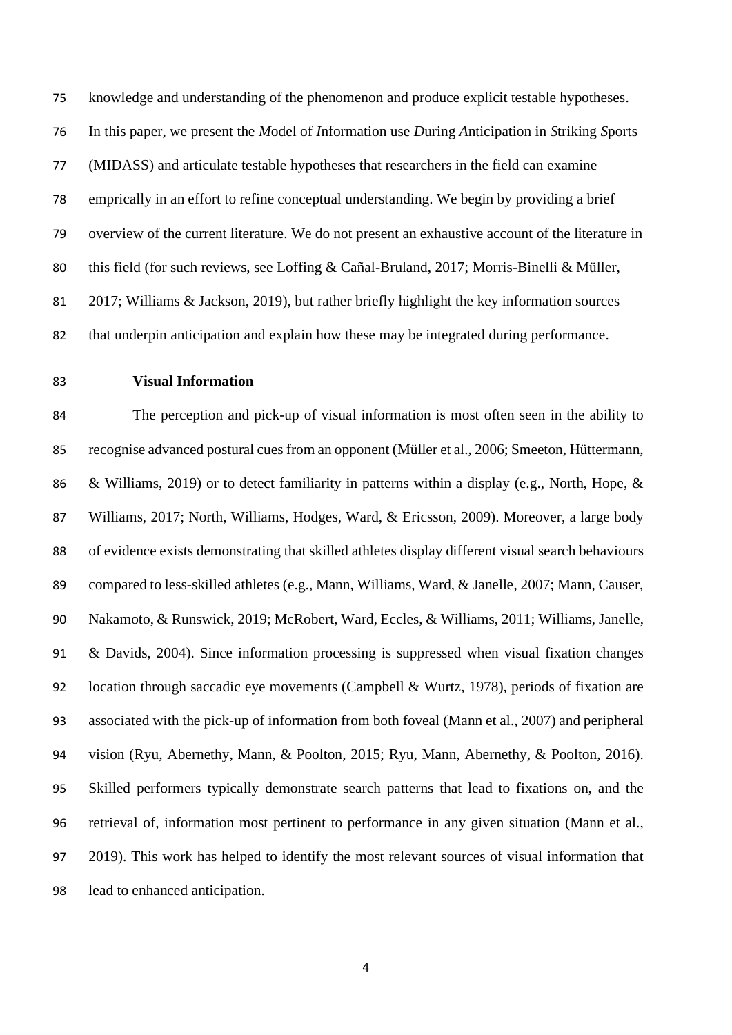knowledge and understanding of the phenomenon and produce explicit testable hypotheses. In this paper, we present the *M*odel of *I*nformation use *D*uring *A*nticipation in *S*triking *S*ports (MIDASS) and articulate testable hypotheses that researchers in the field can examine emprically in an effort to refine conceptual understanding. We begin by providing a brief overview of the current literature. We do not present an exhaustive account of the literature in this field (for such reviews, see Loffing & Cañal-Bruland, 2017; Morris-Binelli & Müller, 2017; Williams & Jackson, 2019), but rather briefly highlight the key information sources that underpin anticipation and explain how these may be integrated during performance.

### **Visual Information**

 The perception and pick-up of visual information is most often seen in the ability to recognise advanced postural cues from an opponent (Müller et al., 2006; Smeeton, Hüttermann, & Williams, 2019) or to detect familiarity in patterns within a display (e.g., North, Hope, & Williams, 2017; North, Williams, Hodges, Ward, & Ericsson, 2009). Moreover, a large body of evidence exists demonstrating that skilled athletes display different visual search behaviours compared to less-skilled athletes (e.g., Mann, Williams, Ward, & Janelle, 2007; Mann, Causer, Nakamoto, & Runswick, 2019; McRobert, Ward, Eccles, & Williams, 2011; Williams, Janelle, & Davids, 2004). Since information processing is suppressed when visual fixation changes location through saccadic eye movements (Campbell & Wurtz, 1978), periods of fixation are associated with the pick-up of information from both foveal (Mann et al., 2007) and peripheral vision (Ryu, Abernethy, Mann, & Poolton, 2015; Ryu, Mann, Abernethy, & Poolton, 2016). Skilled performers typically demonstrate search patterns that lead to fixations on, and the retrieval of, information most pertinent to performance in any given situation (Mann et al., 2019). This work has helped to identify the most relevant sources of visual information that lead to enhanced anticipation.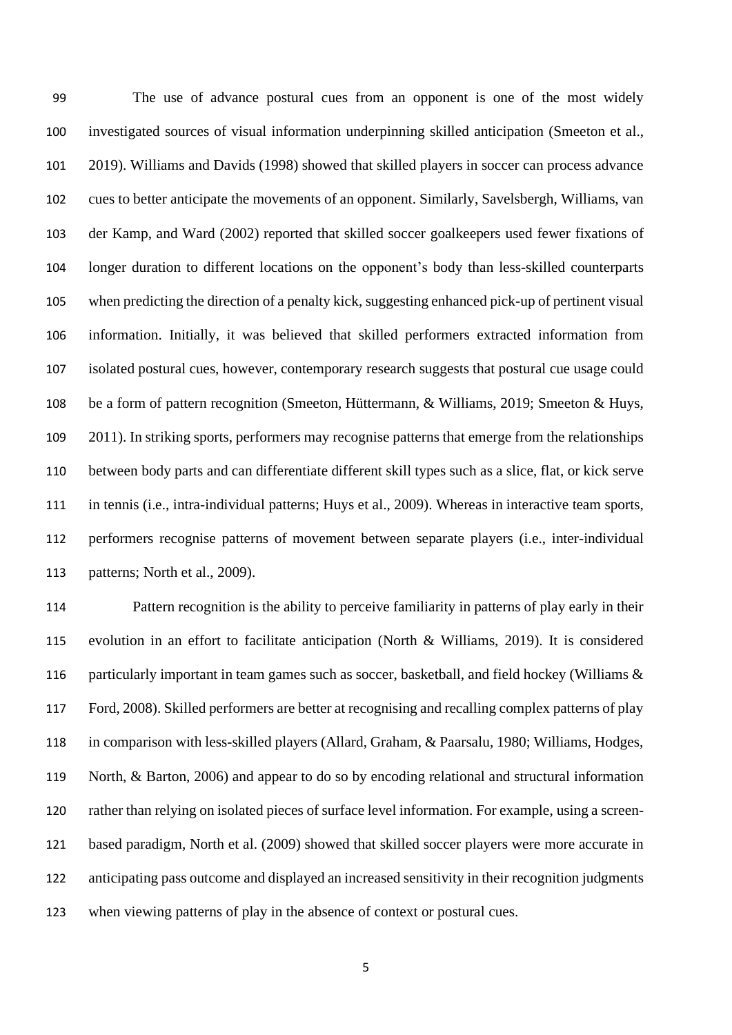The use of advance postural cues from an opponent is one of the most widely investigated sources of visual information underpinning skilled anticipation (Smeeton et al., 2019). Williams and Davids (1998) showed that skilled players in soccer can process advance cues to better anticipate the movements of an opponent. Similarly, Savelsbergh, Williams, van der Kamp, and Ward (2002) reported that skilled soccer goalkeepers used fewer fixations of longer duration to different locations on the opponent's body than less-skilled counterparts when predicting the direction of a penalty kick, suggesting enhanced pick-up of pertinent visual information. Initially, it was believed that skilled performers extracted information from isolated postural cues, however, contemporary research suggests that postural cue usage could be a form of pattern recognition (Smeeton, Hüttermann, & Williams, 2019; Smeeton & Huys, 2011). In striking sports, performers may recognise patterns that emerge from the relationships between body parts and can differentiate different skill types such as a slice, flat, or kick serve in tennis (i.e., intra-individual patterns; Huys et al., 2009). Whereas in interactive team sports, performers recognise patterns of movement between separate players (i.e., inter-individual patterns; North et al., 2009).

 Pattern recognition is the ability to perceive familiarity in patterns of play early in their evolution in an effort to facilitate anticipation (North & Williams, 2019). It is considered 116 particularly important in team games such as soccer, basketball, and field hockey (Williams & Ford, 2008). Skilled performers are better at recognising and recalling complex patterns of play in comparison with less-skilled players (Allard, Graham, & Paarsalu, 1980; Williams, Hodges, North, & Barton, 2006) and appear to do so by encoding relational and structural information rather than relying on isolated pieces of surface level information. For example, using a screen- based paradigm, North et al. (2009) showed that skilled soccer players were more accurate in anticipating pass outcome and displayed an increased sensitivity in their recognition judgments when viewing patterns of play in the absence of context or postural cues.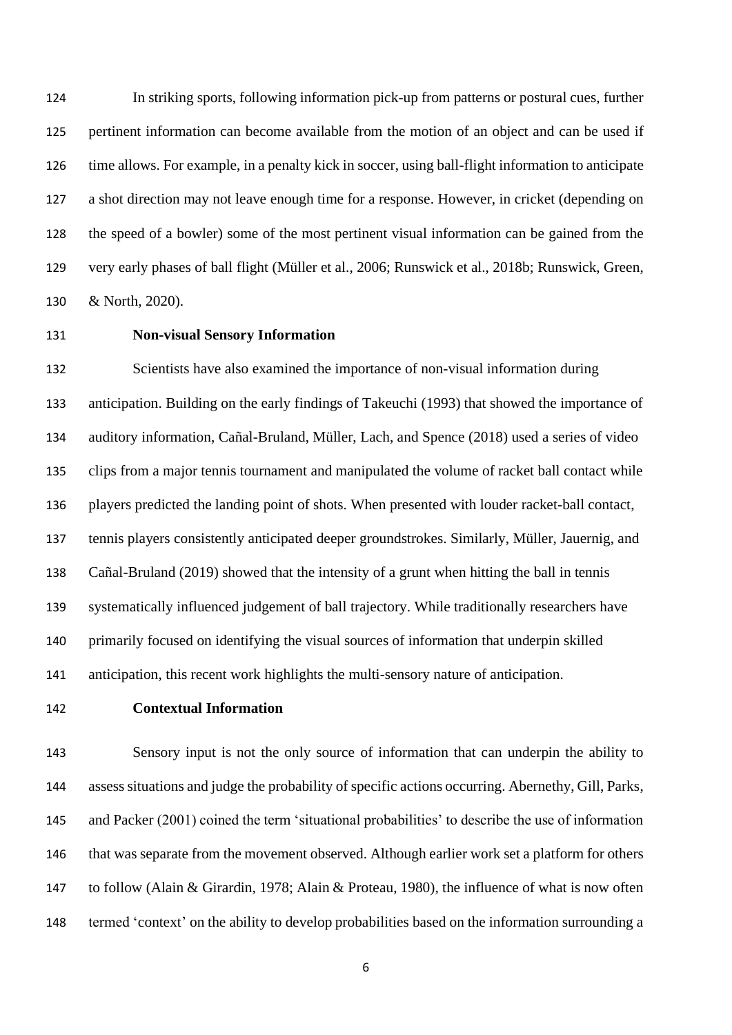In striking sports, following information pick-up from patterns or postural cues, further pertinent information can become available from the motion of an object and can be used if time allows. For example, in a penalty kick in soccer, using ball-flight information to anticipate a shot direction may not leave enough time for a response. However, in cricket (depending on the speed of a bowler) some of the most pertinent visual information can be gained from the very early phases of ball flight (Müller et al., 2006; Runswick et al., 2018b; Runswick, Green, & North, 2020).

# **Non-visual Sensory Information**

 Scientists have also examined the importance of non-visual information during anticipation. Building on the early findings of Takeuchi (1993) that showed the importance of auditory information, Cañal-Bruland, Müller, Lach, and Spence (2018) used a series of video clips from a major tennis tournament and manipulated the volume of racket ball contact while players predicted the landing point of shots. When presented with louder racket-ball contact, tennis players consistently anticipated deeper groundstrokes. Similarly, Müller, Jauernig, and Cañal-Bruland (2019) showed that the intensity of a grunt when hitting the ball in tennis systematically influenced judgement of ball trajectory. While traditionally researchers have primarily focused on identifying the visual sources of information that underpin skilled anticipation, this recent work highlights the multi-sensory nature of anticipation.

## **Contextual Information**

 Sensory input is not the only source of information that can underpin the ability to assess situations and judge the probability of specific actions occurring. Abernethy, Gill, Parks, and Packer (2001) coined the term 'situational probabilities' to describe the use of information that was separate from the movement observed. Although earlier work set a platform for others to follow (Alain & Girardin, 1978; Alain & Proteau, 1980), the influence of what is now often termed 'context' on the ability to develop probabilities based on the information surrounding a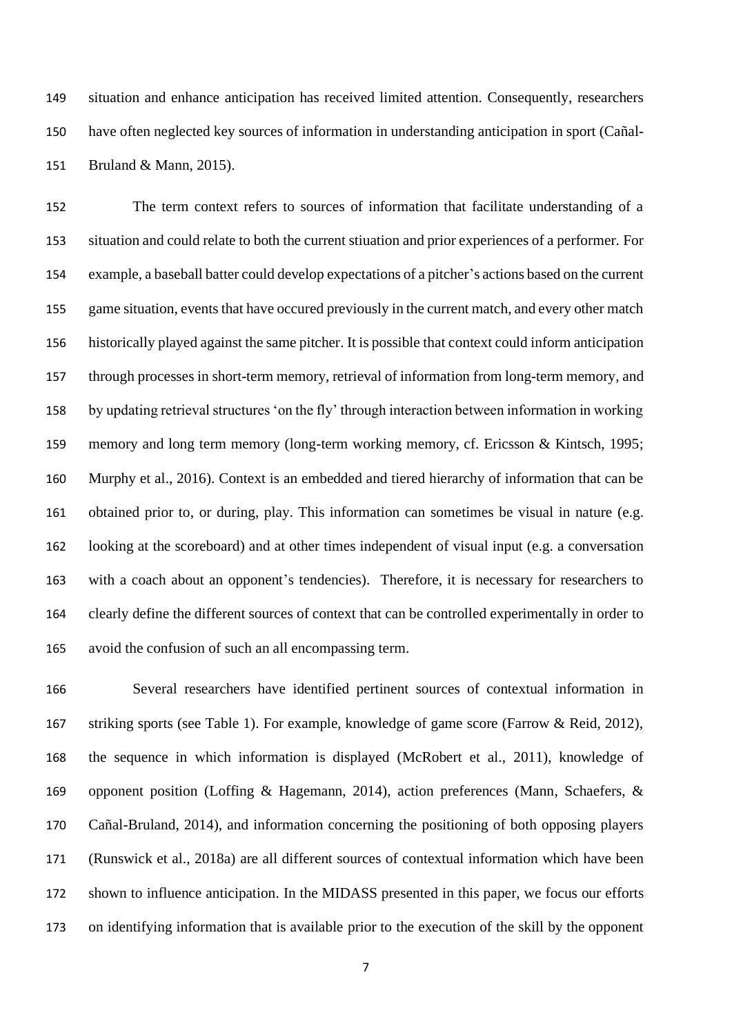situation and enhance anticipation has received limited attention. Consequently, researchers have often neglected key sources of information in understanding anticipation in sport (Cañal-Bruland & Mann, 2015).

 The term context refers to sources of information that facilitate understanding of a situation and could relate to both the current stiuation and prior experiences of a performer. For example, a baseball batter could develop expectations of a pitcher's actions based on the current game situation, events that have occured previously in the current match, and every other match historically played against the same pitcher. It is possible that context could inform anticipation through processes in short-term memory, retrieval of information from long-term memory, and by updating retrieval structures 'on the fly' through interaction between information in working memory and long term memory (long-term working memory, cf. Ericsson & Kintsch, 1995; Murphy et al., 2016). Context is an embedded and tiered hierarchy of information that can be obtained prior to, or during, play. This information can sometimes be visual in nature (e.g. looking at the scoreboard) and at other times independent of visual input (e.g. a conversation with a coach about an opponent's tendencies). Therefore, it is necessary for researchers to clearly define the different sources of context that can be controlled experimentally in order to avoid the confusion of such an all encompassing term.

 Several researchers have identified pertinent sources of contextual information in 167 striking sports (see Table 1). For example, knowledge of game score (Farrow & Reid, 2012), the sequence in which information is displayed (McRobert et al., 2011), knowledge of opponent position (Loffing & Hagemann, 2014), action preferences (Mann, Schaefers, & Cañal-Bruland, 2014), and information concerning the positioning of both opposing players (Runswick et al., 2018a) are all different sources of contextual information which have been shown to influence anticipation. In the MIDASS presented in this paper, we focus our efforts on identifying information that is available prior to the execution of the skill by the opponent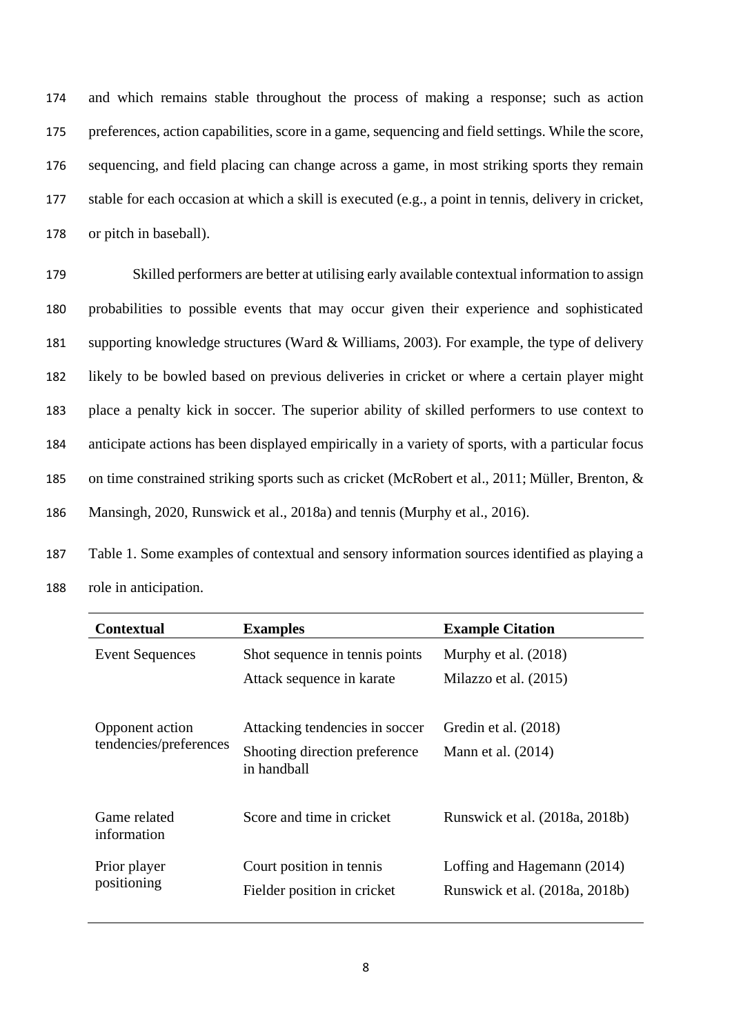and which remains stable throughout the process of making a response; such as action preferences, action capabilities, score in a game, sequencing and field settings. While the score, sequencing, and field placing can change across a game, in most striking sports they remain stable for each occasion at which a skill is executed (e.g., a point in tennis, delivery in cricket, or pitch in baseball).

 Skilled performers are better at utilising early available contextual information to assign probabilities to possible events that may occur given their experience and sophisticated supporting knowledge structures (Ward & Williams, 2003). For example, the type of delivery likely to be bowled based on previous deliveries in cricket or where a certain player might place a penalty kick in soccer. The superior ability of skilled performers to use context to anticipate actions has been displayed empirically in a variety of sports, with a particular focus on time constrained striking sports such as cricket (McRobert et al., 2011; Müller, Brenton, & Mansingh, 2020, Runswick et al., 2018a) and tennis (Murphy et al., 2016).

187 Table 1. Some examples of contextual and sensory information sources identified as playing a 188 role in anticipation.

| <b>Contextual</b>           | <b>Examples</b>                                         | <b>Example Citation</b>                                       |
|-----------------------------|---------------------------------------------------------|---------------------------------------------------------------|
| <b>Event Sequences</b>      | Shot sequence in tennis points                          | Murphy et al. $(2018)$                                        |
|                             | Attack sequence in karate                               | Milazzo et al. (2015)                                         |
| Opponent action             | Attacking tendencies in soccer                          | Gredin et al. (2018)                                          |
| tendencies/preferences      | Shooting direction preference<br>in handball            | Mann et al. $(2014)$                                          |
| Game related<br>information | Score and time in cricket                               | Runswick et al. (2018a, 2018b)                                |
| Prior player<br>positioning | Court position in tennis<br>Fielder position in cricket | Loffing and Hagemann (2014)<br>Runswick et al. (2018a, 2018b) |
|                             |                                                         |                                                               |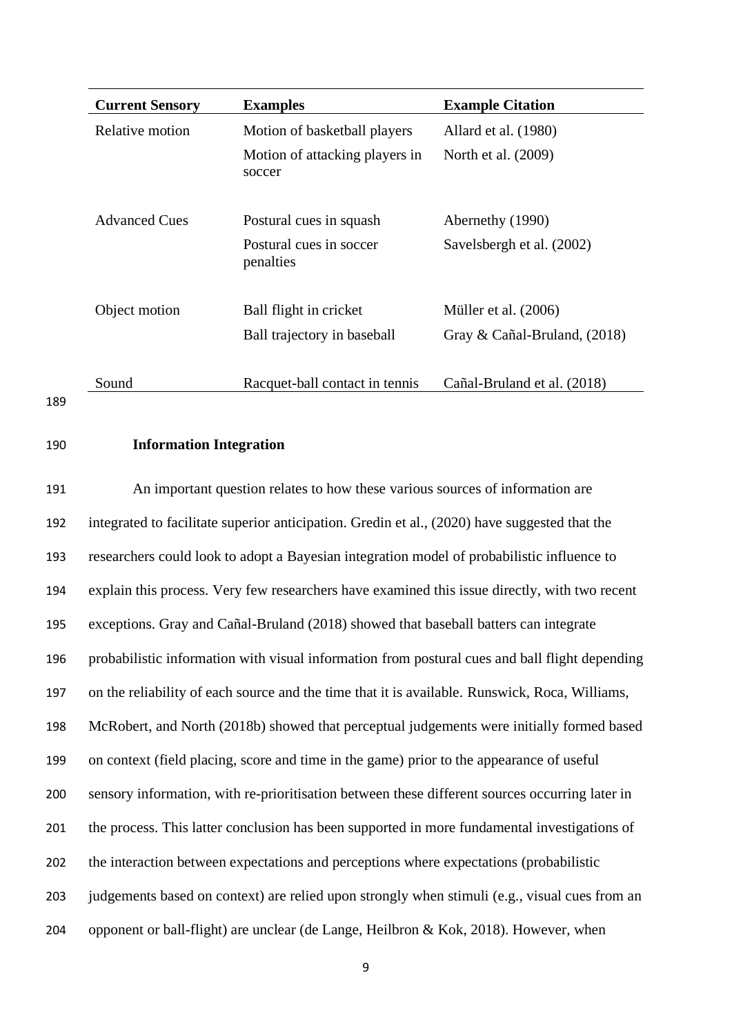| <b>Current Sensory</b> | <b>Examples</b>                          | <b>Example Citation</b>      |
|------------------------|------------------------------------------|------------------------------|
| Relative motion        | Motion of basketball players             | Allard et al. (1980)         |
|                        | Motion of attacking players in<br>soccer | North et al. (2009)          |
| <b>Advanced Cues</b>   | Postural cues in squash                  | Abernethy (1990)             |
|                        | Postural cues in soccer<br>penalties     | Savelsbergh et al. (2002)    |
| Object motion          | Ball flight in cricket                   | Müller et al. (2006)         |
|                        |                                          |                              |
|                        | Ball trajectory in baseball              | Gray & Cañal-Bruland, (2018) |
| Sound                  | Racquet-ball contact in tennis           | Cañal-Bruland et al. (2018)  |

189

#### 190 **Information Integration**

 An important question relates to how these various sources of information are integrated to facilitate superior anticipation. Gredin et al., (2020) have suggested that the researchers could look to adopt a Bayesian integration model of probabilistic influence to explain this process. Very few researchers have examined this issue directly, with two recent exceptions. Gray and Cañal-Bruland (2018) showed that baseball batters can integrate probabilistic information with visual information from postural cues and ball flight depending on the reliability of each source and the time that it is available. Runswick, Roca, Williams, McRobert, and North (2018b) showed that perceptual judgements were initially formed based on context (field placing, score and time in the game) prior to the appearance of useful sensory information, with re-prioritisation between these different sources occurring later in the process. This latter conclusion has been supported in more fundamental investigations of the interaction between expectations and perceptions where expectations (probabilistic judgements based on context) are relied upon strongly when stimuli (e.g., visual cues from an 204 opponent or ball-flight) are unclear (de Lange, Heilbron & Kok, 2018). However, when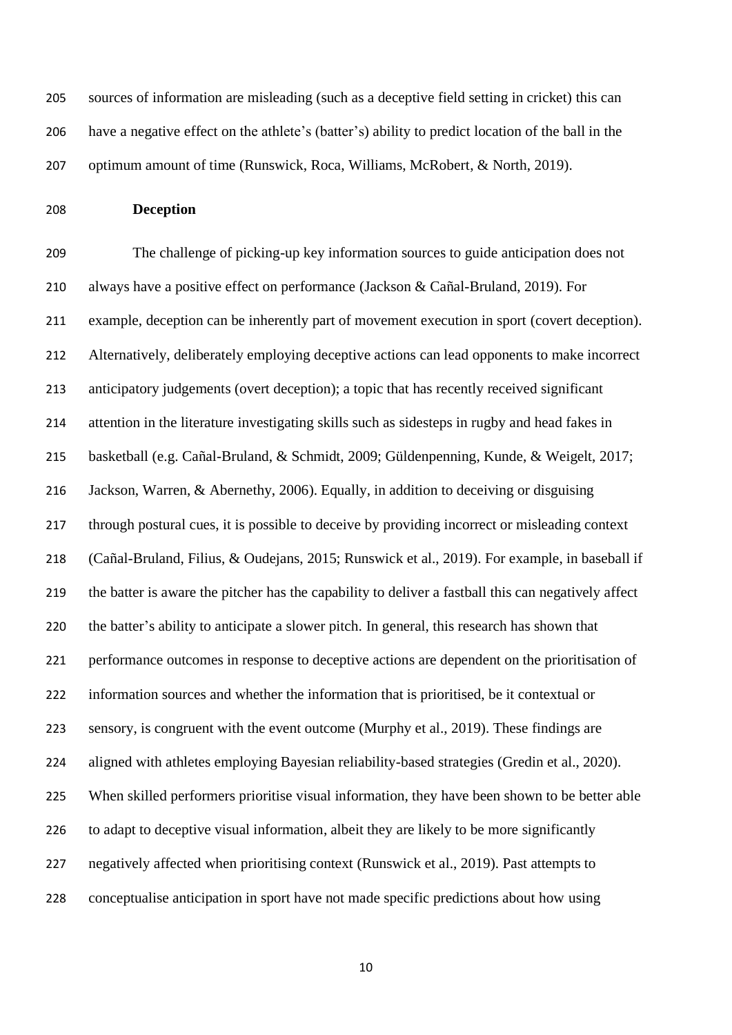| 205 | sources of information are misleading (such as a deceptive field setting in cricket) this can     |
|-----|---------------------------------------------------------------------------------------------------|
| 206 | have a negative effect on the athlete's (batter's) ability to predict location of the ball in the |
| 207 | optimum amount of time (Runswick, Roca, Williams, McRobert, & North, 2019).                       |

# **Deception**

 The challenge of picking-up key information sources to guide anticipation does not always have a positive effect on performance (Jackson & Cañal-Bruland, 2019). For example, deception can be inherently part of movement execution in sport (covert deception). Alternatively, deliberately employing deceptive actions can lead opponents to make incorrect anticipatory judgements (overt deception); a topic that has recently received significant attention in the literature investigating skills such as sidesteps in rugby and head fakes in basketball (e.g. Cañal-Bruland, & Schmidt, 2009; Güldenpenning, Kunde, & Weigelt, 2017; Jackson, Warren, & Abernethy, 2006). Equally, in addition to deceiving or disguising through postural cues, it is possible to deceive by providing incorrect or misleading context (Cañal-Bruland, Filius, & Oudejans, 2015; Runswick et al., 2019). For example, in baseball if the batter is aware the pitcher has the capability to deliver a fastball this can negatively affect the batter's ability to anticipate a slower pitch. In general, this research has shown that performance outcomes in response to deceptive actions are dependent on the prioritisation of information sources and whether the information that is prioritised, be it contextual or sensory, is congruent with the event outcome (Murphy et al., 2019). These findings are aligned with athletes employing Bayesian reliability-based strategies (Gredin et al., 2020). When skilled performers prioritise visual information, they have been shown to be better able 226 to adapt to deceptive visual information, albeit they are likely to be more significantly negatively affected when prioritising context (Runswick et al., 2019). Past attempts to conceptualise anticipation in sport have not made specific predictions about how using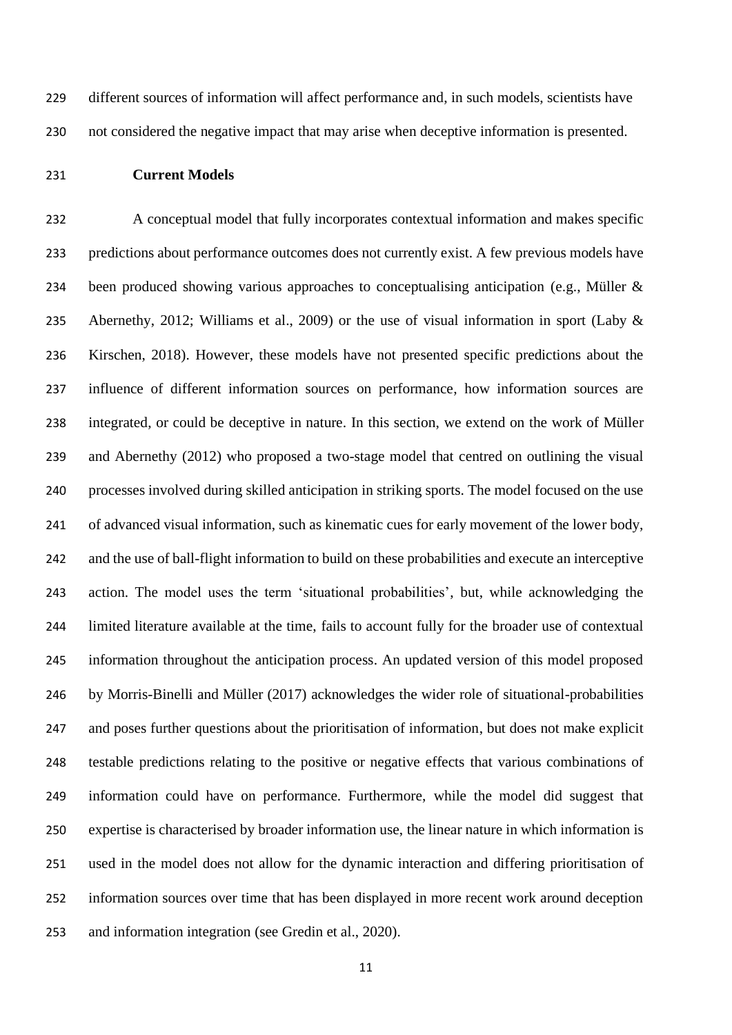different sources of information will affect performance and, in such models, scientists have not considered the negative impact that may arise when deceptive information is presented.

### **Current Models**

 A conceptual model that fully incorporates contextual information and makes specific predictions about performance outcomes does not currently exist. A few previous models have 234 been produced showing various approaches to conceptualising anticipation (e.g., Müller & 235 Abernethy, 2012; Williams et al., 2009) or the use of visual information in sport (Laby & Kirschen, 2018). However, these models have not presented specific predictions about the influence of different information sources on performance, how information sources are integrated, or could be deceptive in nature. In this section, we extend on the work of Müller and Abernethy (2012) who proposed a two-stage model that centred on outlining the visual processes involved during skilled anticipation in striking sports. The model focused on the use of advanced visual information, such as kinematic cues for early movement of the lower body, and the use of ball-flight information to build on these probabilities and execute an interceptive action. The model uses the term 'situational probabilities', but, while acknowledging the limited literature available at the time, fails to account fully for the broader use of contextual information throughout the anticipation process. An updated version of this model proposed by Morris-Binelli and Müller (2017) acknowledges the wider role of situational-probabilities and poses further questions about the prioritisation of information, but does not make explicit testable predictions relating to the positive or negative effects that various combinations of information could have on performance. Furthermore, while the model did suggest that expertise is characterised by broader information use, the linear nature in which information is used in the model does not allow for the dynamic interaction and differing prioritisation of information sources over time that has been displayed in more recent work around deception and information integration (see Gredin et al., 2020).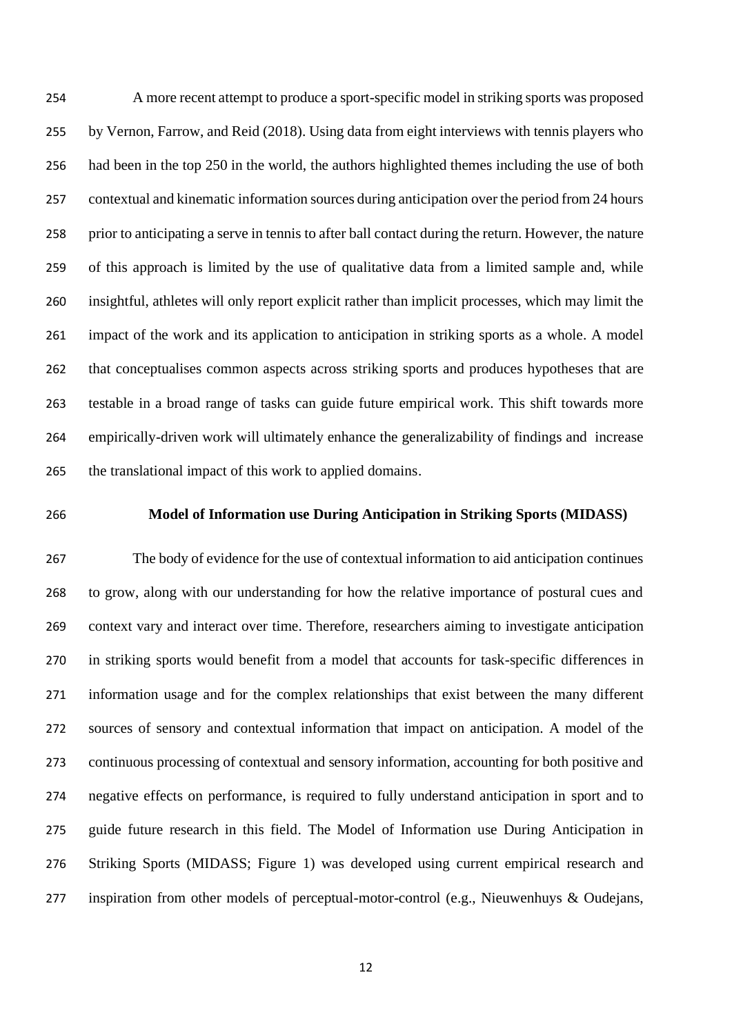A more recent attempt to produce a sport-specific model in striking sports was proposed by Vernon, Farrow, and Reid (2018). Using data from eight interviews with tennis players who had been in the top 250 in the world, the authors highlighted themes including the use of both contextual and kinematic information sources during anticipation over the period from 24 hours prior to anticipating a serve in tennis to after ball contact during the return. However, the nature of this approach is limited by the use of qualitative data from a limited sample and, while insightful, athletes will only report explicit rather than implicit processes, which may limit the impact of the work and its application to anticipation in striking sports as a whole. A model that conceptualises common aspects across striking sports and produces hypotheses that are testable in a broad range of tasks can guide future empirical work. This shift towards more empirically-driven work will ultimately enhance the generalizability of findings and increase the translational impact of this work to applied domains.

### **Model of Information use During Anticipation in Striking Sports (MIDASS)**

 The body of evidence for the use of contextual information to aid anticipation continues to grow, along with our understanding for how the relative importance of postural cues and context vary and interact over time. Therefore, researchers aiming to investigate anticipation in striking sports would benefit from a model that accounts for task-specific differences in information usage and for the complex relationships that exist between the many different sources of sensory and contextual information that impact on anticipation. A model of the continuous processing of contextual and sensory information, accounting for both positive and negative effects on performance, is required to fully understand anticipation in sport and to guide future research in this field. The Model of Information use During Anticipation in Striking Sports (MIDASS; Figure 1) was developed using current empirical research and inspiration from other models of perceptual-motor-control (e.g., Nieuwenhuys & Oudejans,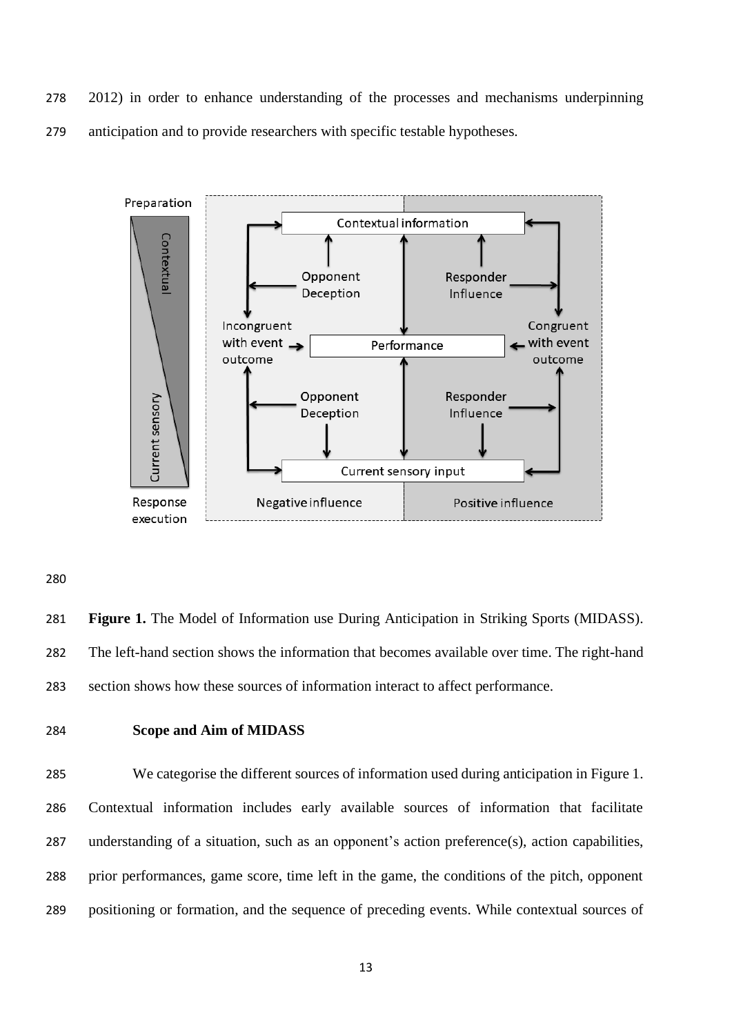2012) in order to enhance understanding of the processes and mechanisms underpinning anticipation and to provide researchers with specific testable hypotheses.



 **Figure 1.** The Model of Information use During Anticipation in Striking Sports (MIDASS). The left-hand section shows the information that becomes available over time. The right-hand section shows how these sources of information interact to affect performance.

### **Scope and Aim of MIDASS**

 We categorise the different sources of information used during anticipation in Figure 1. Contextual information includes early available sources of information that facilitate understanding of a situation, such as an opponent's action preference(s), action capabilities, prior performances, game score, time left in the game, the conditions of the pitch, opponent positioning or formation, and the sequence of preceding events. While contextual sources of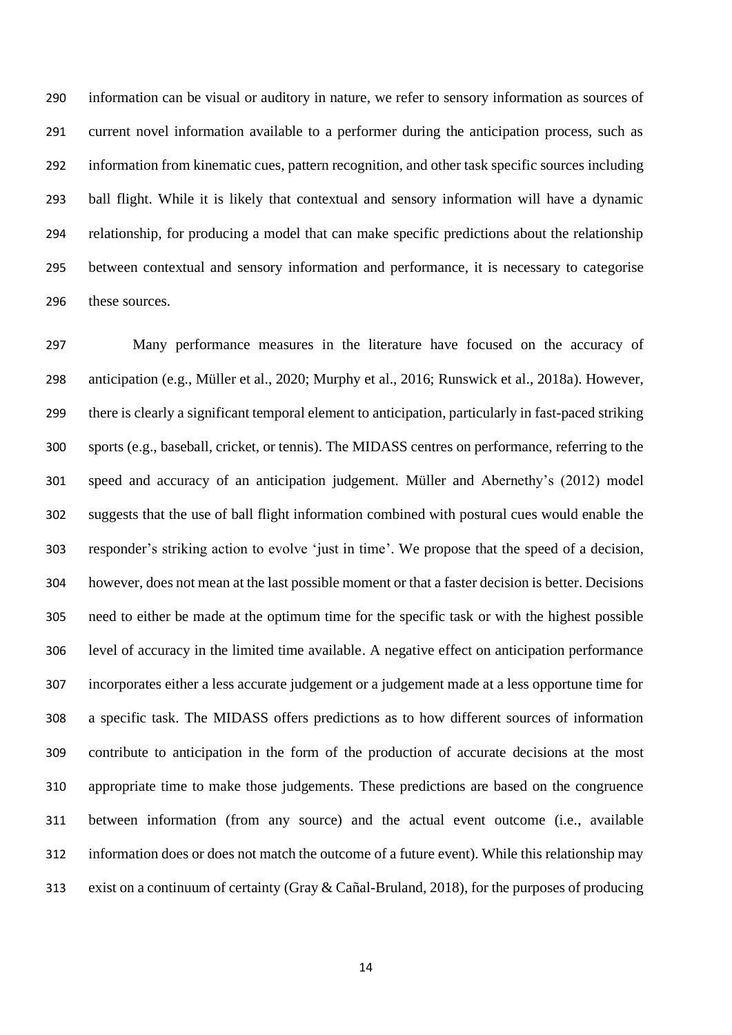information can be visual or auditory in nature, we refer to sensory information as sources of current novel information available to a performer during the anticipation process, such as information from kinematic cues, pattern recognition, and other task specific sources including ball flight. While it is likely that contextual and sensory information will have a dynamic relationship, for producing a model that can make specific predictions about the relationship between contextual and sensory information and performance, it is necessary to categorise these sources.

 Many performance measures in the literature have focused on the accuracy of anticipation (e.g., Müller et al., 2020; Murphy et al., 2016; Runswick et al., 2018a). However, there is clearly a significant temporal element to anticipation, particularly in fast-paced striking sports (e.g., baseball, cricket, or tennis). The MIDASS centres on performance, referring to the speed and accuracy of an anticipation judgement. Müller and Abernethy's (2012) model suggests that the use of ball flight information combined with postural cues would enable the responder's striking action to evolve 'just in time'. We propose that the speed of a decision, however, does not mean at the last possible moment or that a faster decision is better. Decisions need to either be made at the optimum time for the specific task or with the highest possible level of accuracy in the limited time available. A negative effect on anticipation performance incorporates either a less accurate judgement or a judgement made at a less opportune time for a specific task. The MIDASS offers predictions as to how different sources of information contribute to anticipation in the form of the production of accurate decisions at the most appropriate time to make those judgements. These predictions are based on the congruence between information (from any source) and the actual event outcome (i.e., available information does or does not match the outcome of a future event). While this relationship may exist on a continuum of certainty (Gray & Cañal-Bruland, 2018), for the purposes of producing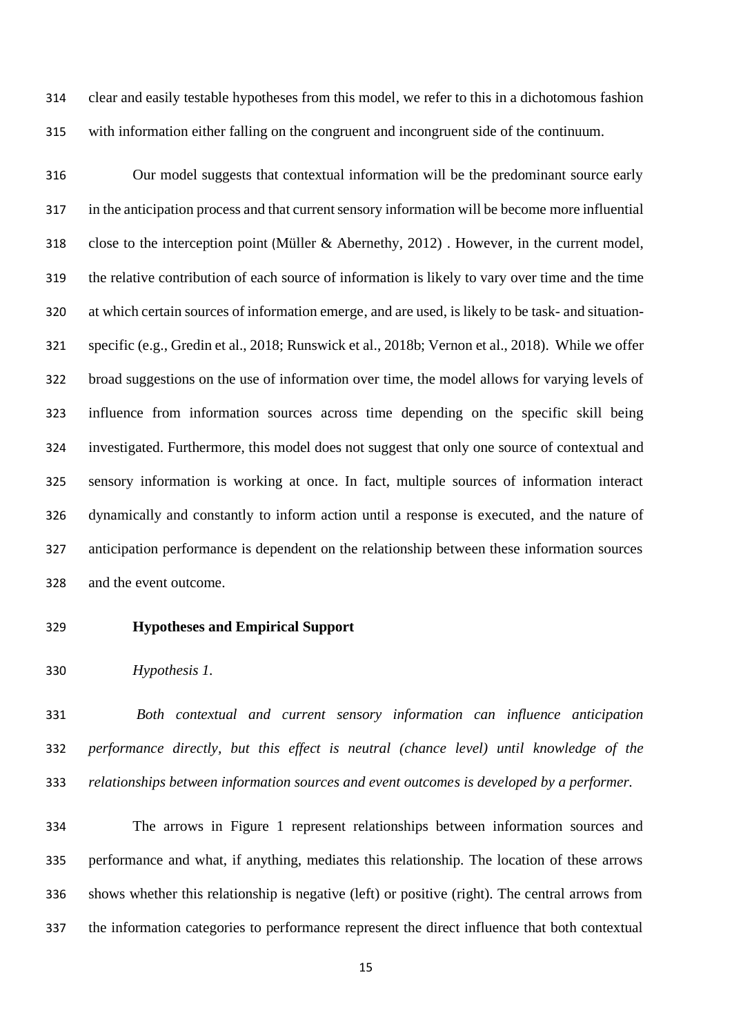clear and easily testable hypotheses from this model, we refer to this in a dichotomous fashion with information either falling on the congruent and incongruent side of the continuum.

 Our model suggests that contextual information will be the predominant source early in the anticipation process and that current sensory information will be become more influential close to the interception point (Müller & Abernethy, 2012) . However, in the current model, the relative contribution of each source of information is likely to vary over time and the time at which certain sources of information emerge, and are used, is likely to be task- and situation- specific (e.g., Gredin et al., 2018; Runswick et al., 2018b; Vernon et al., 2018). While we offer broad suggestions on the use of information over time, the model allows for varying levels of influence from information sources across time depending on the specific skill being investigated. Furthermore, this model does not suggest that only one source of contextual and sensory information is working at once. In fact, multiple sources of information interact dynamically and constantly to inform action until a response is executed, and the nature of anticipation performance is dependent on the relationship between these information sources and the event outcome.

### **Hypotheses and Empirical Support**

*Hypothesis 1.*

 *Both contextual and current sensory information can influence anticipation performance directly, but this effect is neutral (chance level) until knowledge of the relationships between information sources and event outcomes is developed by a performer.* 

 The arrows in Figure 1 represent relationships between information sources and performance and what, if anything, mediates this relationship. The location of these arrows shows whether this relationship is negative (left) or positive (right). The central arrows from the information categories to performance represent the direct influence that both contextual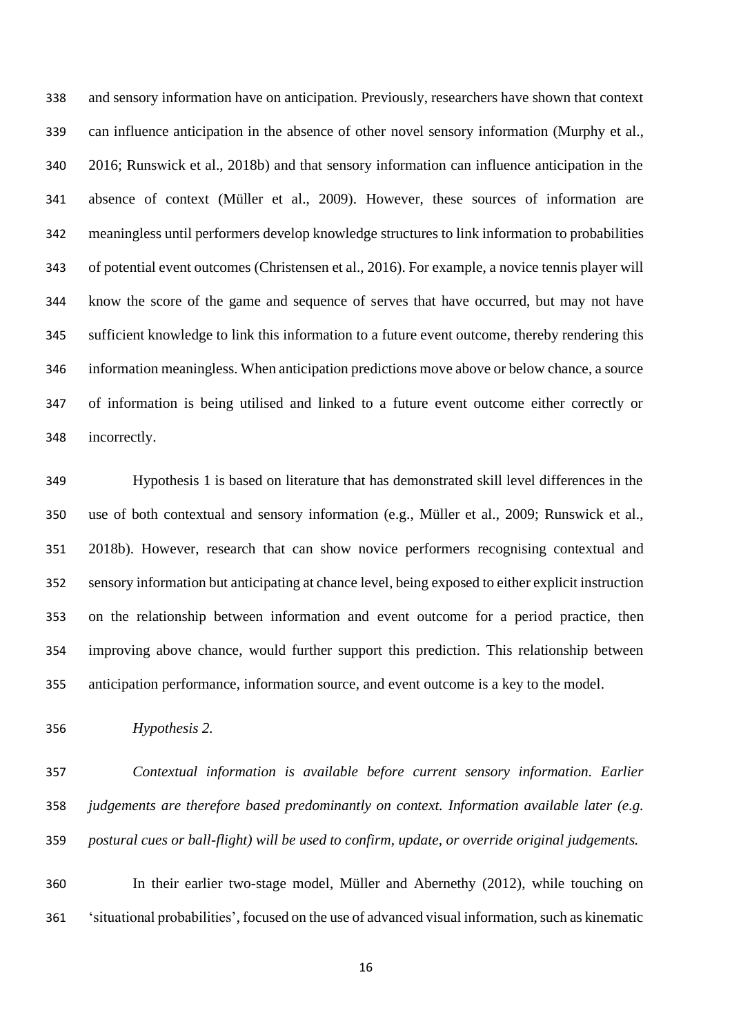and sensory information have on anticipation. Previously, researchers have shown that context can influence anticipation in the absence of other novel sensory information (Murphy et al., 2016; Runswick et al., 2018b) and that sensory information can influence anticipation in the absence of context (Müller et al., 2009). However, these sources of information are meaningless until performers develop knowledge structures to link information to probabilities of potential event outcomes (Christensen et al., 2016). For example, a novice tennis player will know the score of the game and sequence of serves that have occurred, but may not have sufficient knowledge to link this information to a future event outcome, thereby rendering this information meaningless. When anticipation predictions move above or below chance, a source of information is being utilised and linked to a future event outcome either correctly or incorrectly.

 Hypothesis 1 is based on literature that has demonstrated skill level differences in the use of both contextual and sensory information (e.g., Müller et al., 2009; Runswick et al., 2018b). However, research that can show novice performers recognising contextual and sensory information but anticipating at chance level, being exposed to either explicit instruction on the relationship between information and event outcome for a period practice, then improving above chance, would further support this prediction. This relationship between anticipation performance, information source, and event outcome is a key to the model.

*Hypothesis 2.*

 *Contextual information is available before current sensory information. Earlier judgements are therefore based predominantly on context. Information available later (e.g. postural cues or ball-flight) will be used to confirm, update, or override original judgements.*

 In their earlier two-stage model, Müller and Abernethy (2012), while touching on 'situational probabilities', focused on the use of advanced visual information, such as kinematic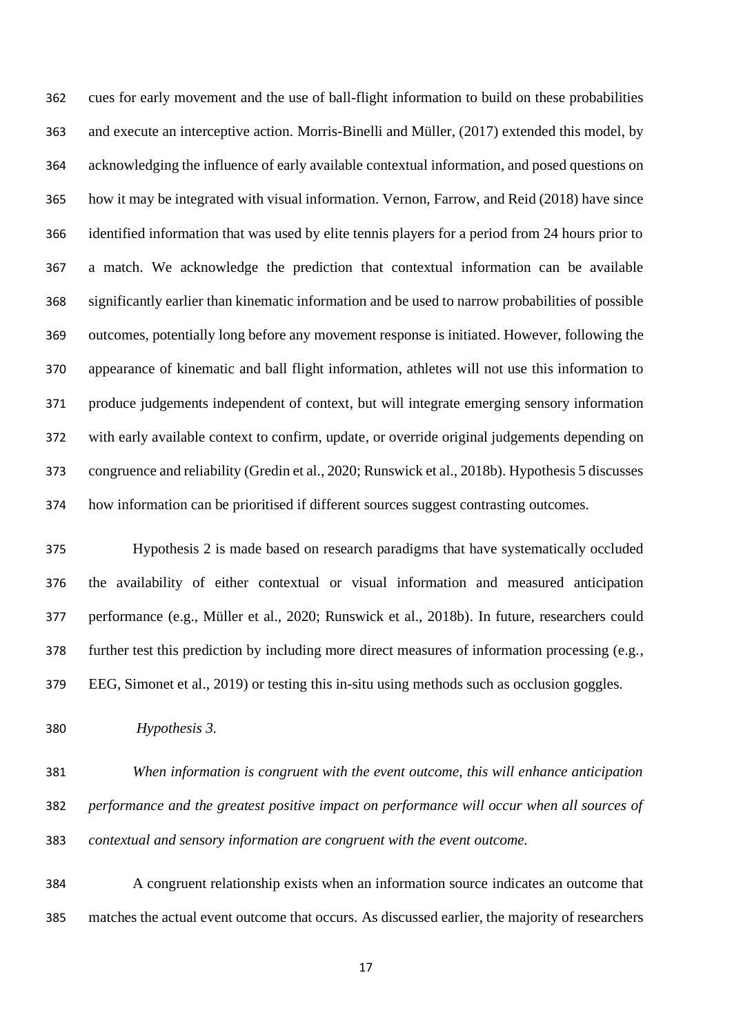cues for early movement and the use of ball-flight information to build on these probabilities and execute an interceptive action. Morris-Binelli and Müller, (2017) extended this model, by acknowledging the influence of early available contextual information, and posed questions on how it may be integrated with visual information. Vernon, Farrow, and Reid (2018) have since identified information that was used by elite tennis players for a period from 24 hours prior to a match. We acknowledge the prediction that contextual information can be available significantly earlier than kinematic information and be used to narrow probabilities of possible outcomes, potentially long before any movement response is initiated. However, following the appearance of kinematic and ball flight information, athletes will not use this information to produce judgements independent of context, but will integrate emerging sensory information with early available context to confirm, update, or override original judgements depending on congruence and reliability (Gredin et al., 2020; Runswick et al., 2018b). Hypothesis 5 discusses how information can be prioritised if different sources suggest contrasting outcomes.

 Hypothesis 2 is made based on research paradigms that have systematically occluded the availability of either contextual or visual information and measured anticipation performance (e.g., Müller et al., 2020; Runswick et al., 2018b). In future, researchers could further test this prediction by including more direct measures of information processing (e.g., EEG, Simonet et al., 2019) or testing this in-situ using methods such as occlusion goggles.

*Hypothesis 3.*

 *When information is congruent with the event outcome, this will enhance anticipation performance and the greatest positive impact on performance will occur when all sources of contextual and sensory information are congruent with the event outcome.* 

 A congruent relationship exists when an information source indicates an outcome that matches the actual event outcome that occurs. As discussed earlier, the majority of researchers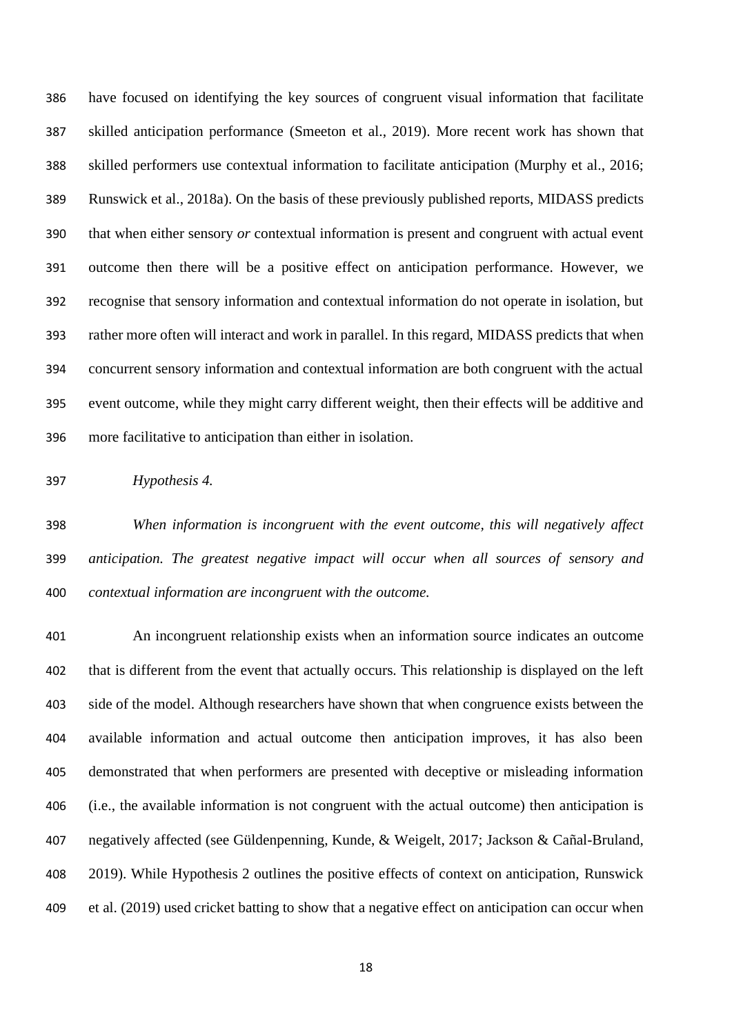have focused on identifying the key sources of congruent visual information that facilitate skilled anticipation performance (Smeeton et al., 2019). More recent work has shown that skilled performers use contextual information to facilitate anticipation (Murphy et al., 2016; Runswick et al., 2018a). On the basis of these previously published reports, MIDASS predicts that when either sensory *or* contextual information is present and congruent with actual event outcome then there will be a positive effect on anticipation performance. However, we recognise that sensory information and contextual information do not operate in isolation, but rather more often will interact and work in parallel. In this regard, MIDASS predicts that when concurrent sensory information and contextual information are both congruent with the actual event outcome, while they might carry different weight, then their effects will be additive and more facilitative to anticipation than either in isolation.

*Hypothesis 4.*

 *When information is incongruent with the event outcome, this will negatively affect anticipation. The greatest negative impact will occur when all sources of sensory and contextual information are incongruent with the outcome.* 

 An incongruent relationship exists when an information source indicates an outcome that is different from the event that actually occurs. This relationship is displayed on the left side of the model. Although researchers have shown that when congruence exists between the available information and actual outcome then anticipation improves, it has also been demonstrated that when performers are presented with deceptive or misleading information (i.e., the available information is not congruent with the actual outcome) then anticipation is negatively affected (see Güldenpenning, Kunde, & Weigelt, 2017; Jackson & Cañal-Bruland, 2019). While Hypothesis 2 outlines the positive effects of context on anticipation, Runswick et al. (2019) used cricket batting to show that a negative effect on anticipation can occur when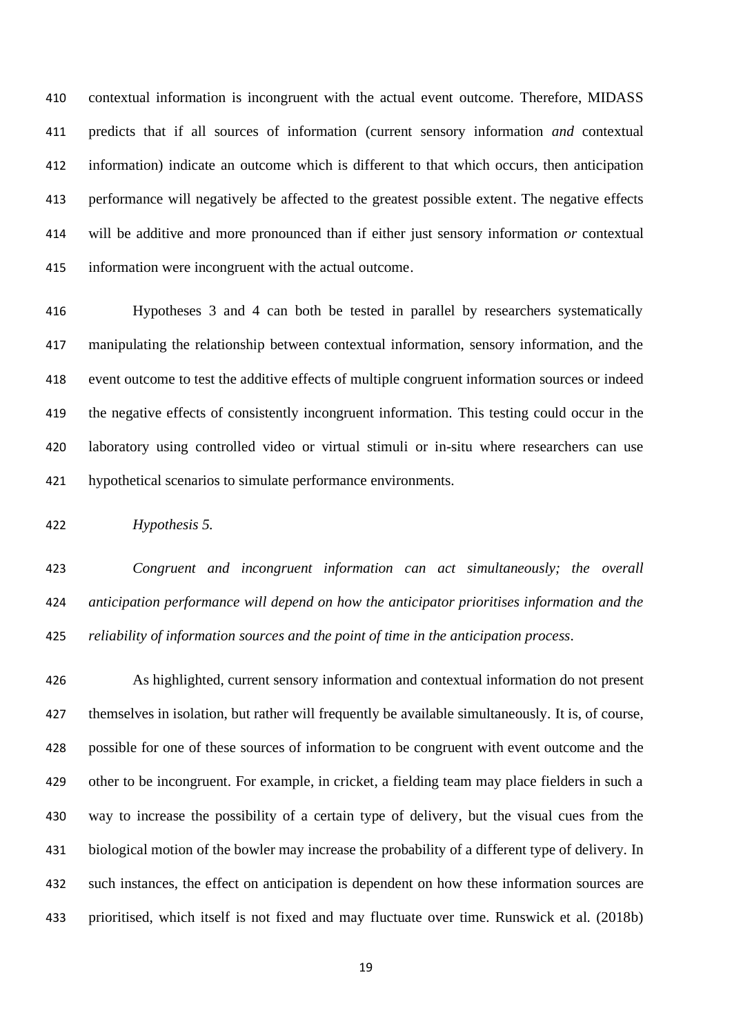contextual information is incongruent with the actual event outcome. Therefore, MIDASS predicts that if all sources of information (current sensory information *and* contextual information) indicate an outcome which is different to that which occurs, then anticipation performance will negatively be affected to the greatest possible extent. The negative effects will be additive and more pronounced than if either just sensory information *or* contextual information were incongruent with the actual outcome.

 Hypotheses 3 and 4 can both be tested in parallel by researchers systematically manipulating the relationship between contextual information, sensory information, and the event outcome to test the additive effects of multiple congruent information sources or indeed the negative effects of consistently incongruent information. This testing could occur in the laboratory using controlled video or virtual stimuli or in-situ where researchers can use hypothetical scenarios to simulate performance environments.

*Hypothesis 5.*

 *Congruent and incongruent information can act simultaneously; the overall anticipation performance will depend on how the anticipator prioritises information and the reliability of information sources and the point of time in the anticipation process.* 

 As highlighted, current sensory information and contextual information do not present themselves in isolation, but rather will frequently be available simultaneously. It is, of course, possible for one of these sources of information to be congruent with event outcome and the other to be incongruent. For example, in cricket, a fielding team may place fielders in such a way to increase the possibility of a certain type of delivery, but the visual cues from the biological motion of the bowler may increase the probability of a different type of delivery. In such instances, the effect on anticipation is dependent on how these information sources are prioritised, which itself is not fixed and may fluctuate over time. Runswick et al. (2018b)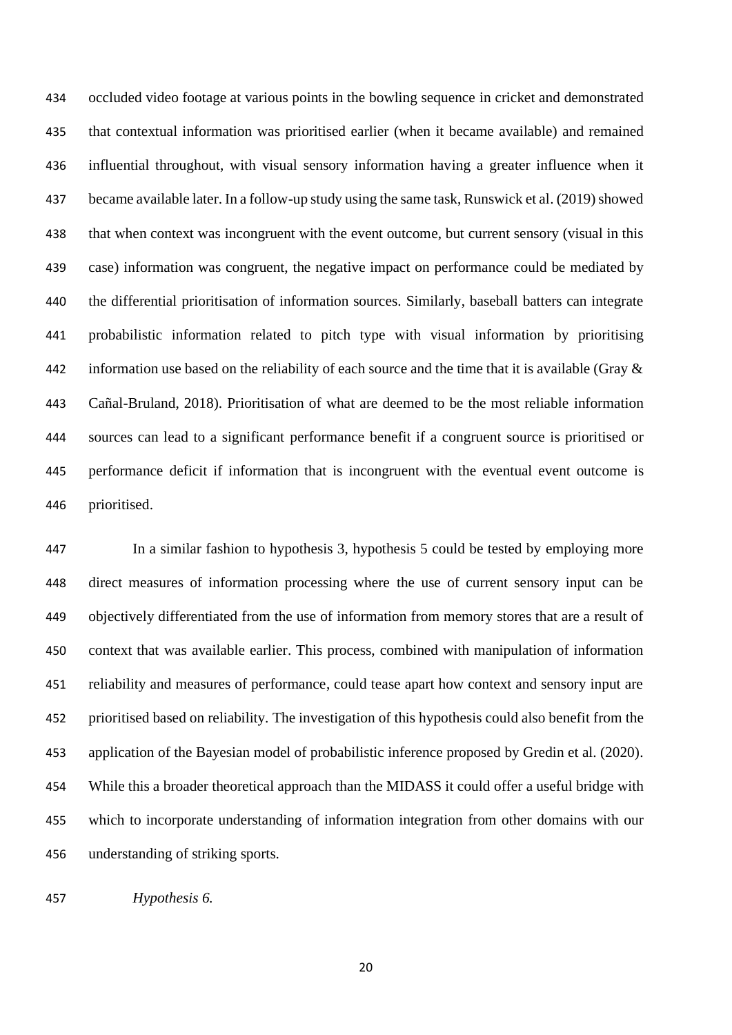occluded video footage at various points in the bowling sequence in cricket and demonstrated that contextual information was prioritised earlier (when it became available) and remained influential throughout, with visual sensory information having a greater influence when it became available later. In a follow-up study using the same task, Runswick et al. (2019) showed that when context was incongruent with the event outcome, but current sensory (visual in this case) information was congruent, the negative impact on performance could be mediated by the differential prioritisation of information sources. Similarly, baseball batters can integrate probabilistic information related to pitch type with visual information by prioritising 442 information use based on the reliability of each source and the time that it is available (Gray  $\&$  Cañal-Bruland, 2018). Prioritisation of what are deemed to be the most reliable information sources can lead to a significant performance benefit if a congruent source is prioritised or performance deficit if information that is incongruent with the eventual event outcome is prioritised.

 In a similar fashion to hypothesis 3, hypothesis 5 could be tested by employing more direct measures of information processing where the use of current sensory input can be objectively differentiated from the use of information from memory stores that are a result of context that was available earlier. This process, combined with manipulation of information reliability and measures of performance, could tease apart how context and sensory input are prioritised based on reliability. The investigation of this hypothesis could also benefit from the application of the Bayesian model of probabilistic inference proposed by Gredin et al. (2020). While this a broader theoretical approach than the MIDASS it could offer a useful bridge with which to incorporate understanding of information integration from other domains with our understanding of striking sports.

*Hypothesis 6.*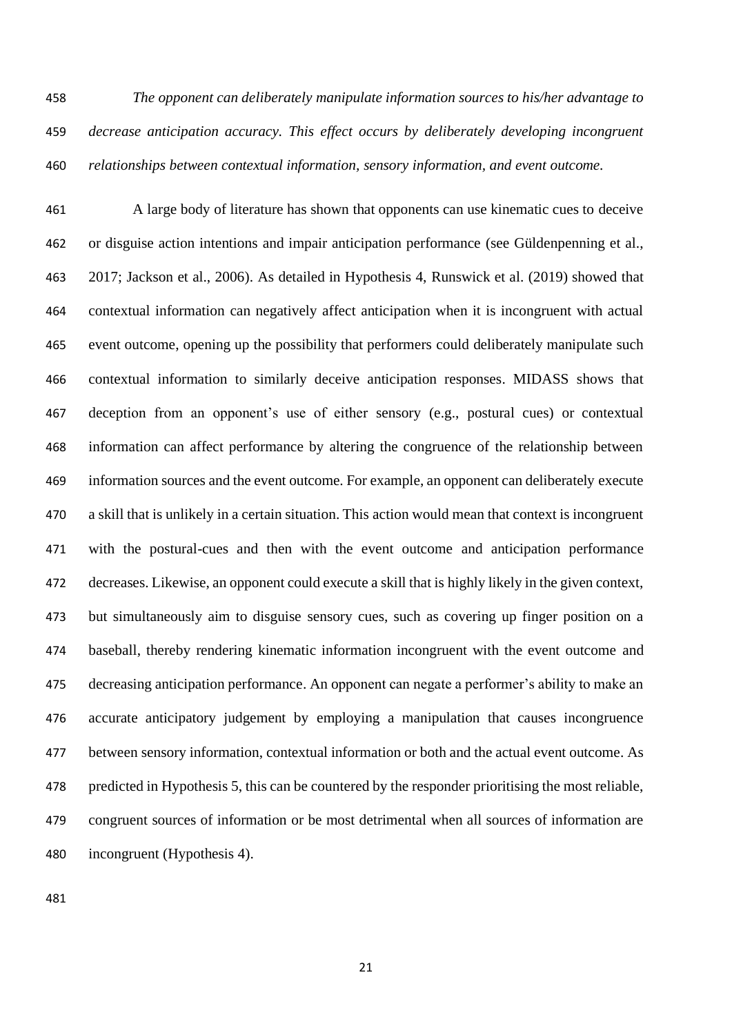*The opponent can deliberately manipulate information sources to his/her advantage to decrease anticipation accuracy. This effect occurs by deliberately developing incongruent relationships between contextual information, sensory information, and event outcome.* 

 A large body of literature has shown that opponents can use kinematic cues to deceive or disguise action intentions and impair anticipation performance (see Güldenpenning et al., 2017; Jackson et al., 2006). As detailed in Hypothesis 4, Runswick et al. (2019) showed that contextual information can negatively affect anticipation when it is incongruent with actual event outcome, opening up the possibility that performers could deliberately manipulate such contextual information to similarly deceive anticipation responses. MIDASS shows that deception from an opponent's use of either sensory (e.g., postural cues) or contextual information can affect performance by altering the congruence of the relationship between information sources and the event outcome. For example, an opponent can deliberately execute a skill that is unlikely in a certain situation. This action would mean that context is incongruent with the postural-cues and then with the event outcome and anticipation performance decreases. Likewise, an opponent could execute a skill that is highly likely in the given context, but simultaneously aim to disguise sensory cues, such as covering up finger position on a baseball, thereby rendering kinematic information incongruent with the event outcome and decreasing anticipation performance. An opponent can negate a performer's ability to make an accurate anticipatory judgement by employing a manipulation that causes incongruence between sensory information, contextual information or both and the actual event outcome. As predicted in Hypothesis 5, this can be countered by the responder prioritising the most reliable, congruent sources of information or be most detrimental when all sources of information are incongruent (Hypothesis 4).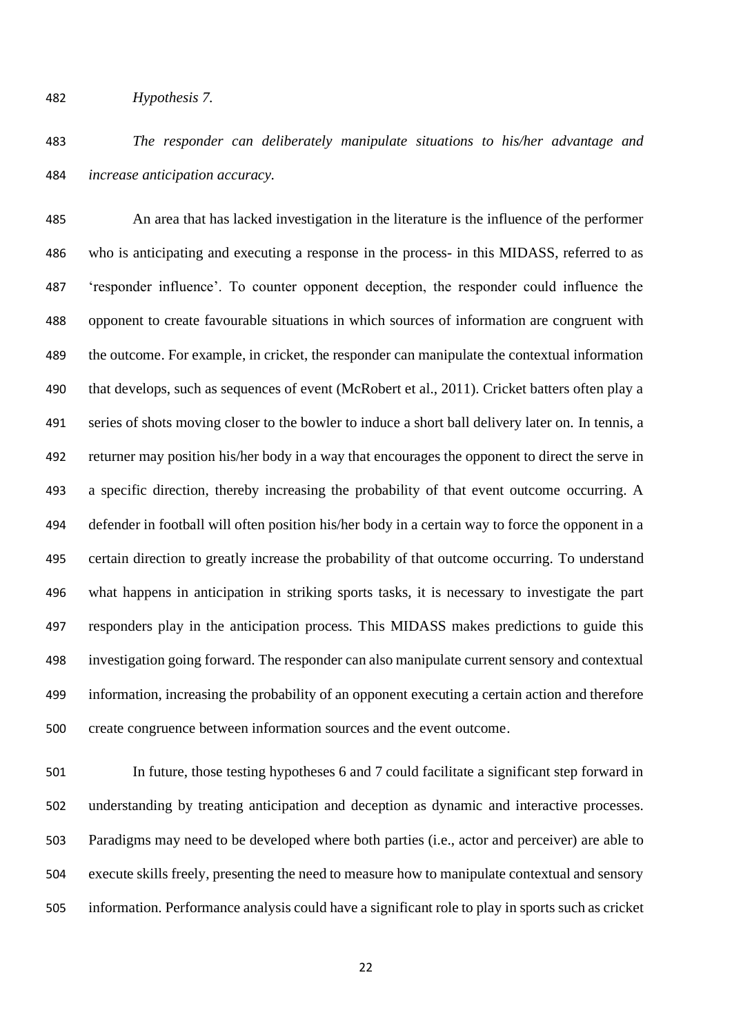*Hypothesis 7.* 

 *The responder can deliberately manipulate situations to his/her advantage and increase anticipation accuracy.* 

 An area that has lacked investigation in the literature is the influence of the performer who is anticipating and executing a response in the process- in this MIDASS, referred to as 'responder influence'. To counter opponent deception, the responder could influence the opponent to create favourable situations in which sources of information are congruent with the outcome. For example, in cricket, the responder can manipulate the contextual information 490 that develops, such as sequences of event (McRobert et al., 2011). Cricket batters often play a series of shots moving closer to the bowler to induce a short ball delivery later on. In tennis, a returner may position his/her body in a way that encourages the opponent to direct the serve in a specific direction, thereby increasing the probability of that event outcome occurring. A defender in football will often position his/her body in a certain way to force the opponent in a certain direction to greatly increase the probability of that outcome occurring. To understand what happens in anticipation in striking sports tasks, it is necessary to investigate the part responders play in the anticipation process. This MIDASS makes predictions to guide this investigation going forward. The responder can also manipulate current sensory and contextual information, increasing the probability of an opponent executing a certain action and therefore create congruence between information sources and the event outcome.

 In future, those testing hypotheses 6 and 7 could facilitate a significant step forward in understanding by treating anticipation and deception as dynamic and interactive processes. Paradigms may need to be developed where both parties (i.e., actor and perceiver) are able to execute skills freely, presenting the need to measure how to manipulate contextual and sensory information. Performance analysis could have a significant role to play in sports such as cricket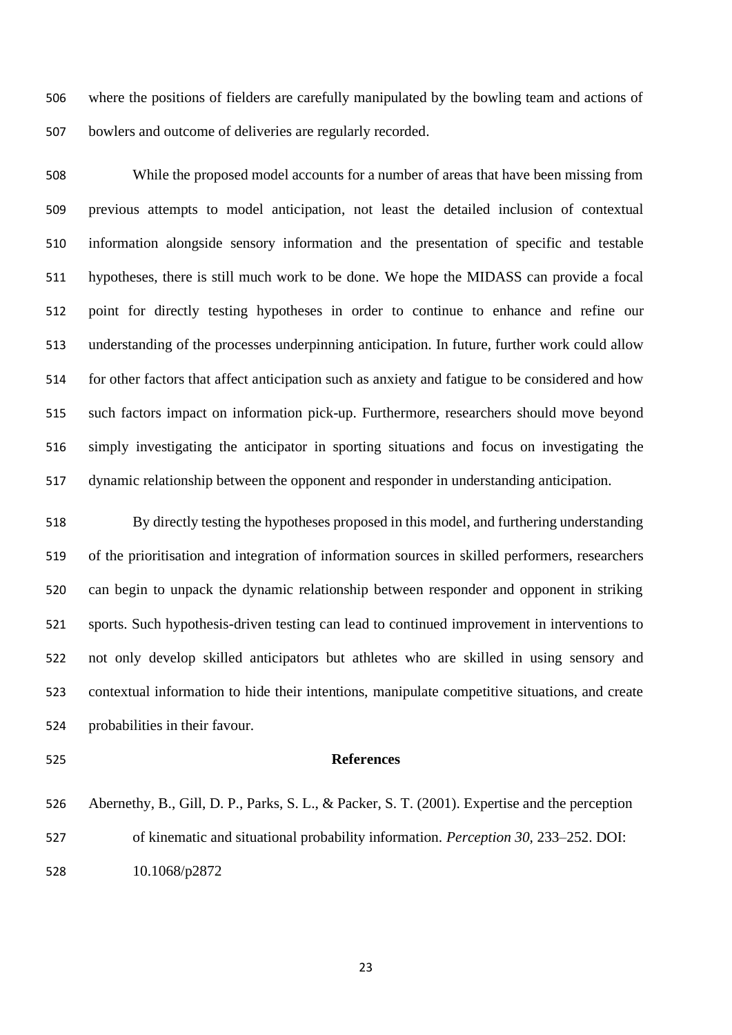where the positions of fielders are carefully manipulated by the bowling team and actions of bowlers and outcome of deliveries are regularly recorded.

 While the proposed model accounts for a number of areas that have been missing from previous attempts to model anticipation, not least the detailed inclusion of contextual information alongside sensory information and the presentation of specific and testable hypotheses, there is still much work to be done. We hope the MIDASS can provide a focal point for directly testing hypotheses in order to continue to enhance and refine our understanding of the processes underpinning anticipation. In future, further work could allow for other factors that affect anticipation such as anxiety and fatigue to be considered and how such factors impact on information pick-up. Furthermore, researchers should move beyond simply investigating the anticipator in sporting situations and focus on investigating the dynamic relationship between the opponent and responder in understanding anticipation.

 By directly testing the hypotheses proposed in this model, and furthering understanding of the prioritisation and integration of information sources in skilled performers, researchers can begin to unpack the dynamic relationship between responder and opponent in striking sports. Such hypothesis-driven testing can lead to continued improvement in interventions to not only develop skilled anticipators but athletes who are skilled in using sensory and contextual information to hide their intentions, manipulate competitive situations, and create probabilities in their favour.

### **References**

 Abernethy, B., Gill, D. P., Parks, S. L., & Packer, S. T. (2001). Expertise and the perception of kinematic and situational probability information. *Perception 30,* 233–252. DOI: 10.1068/p2872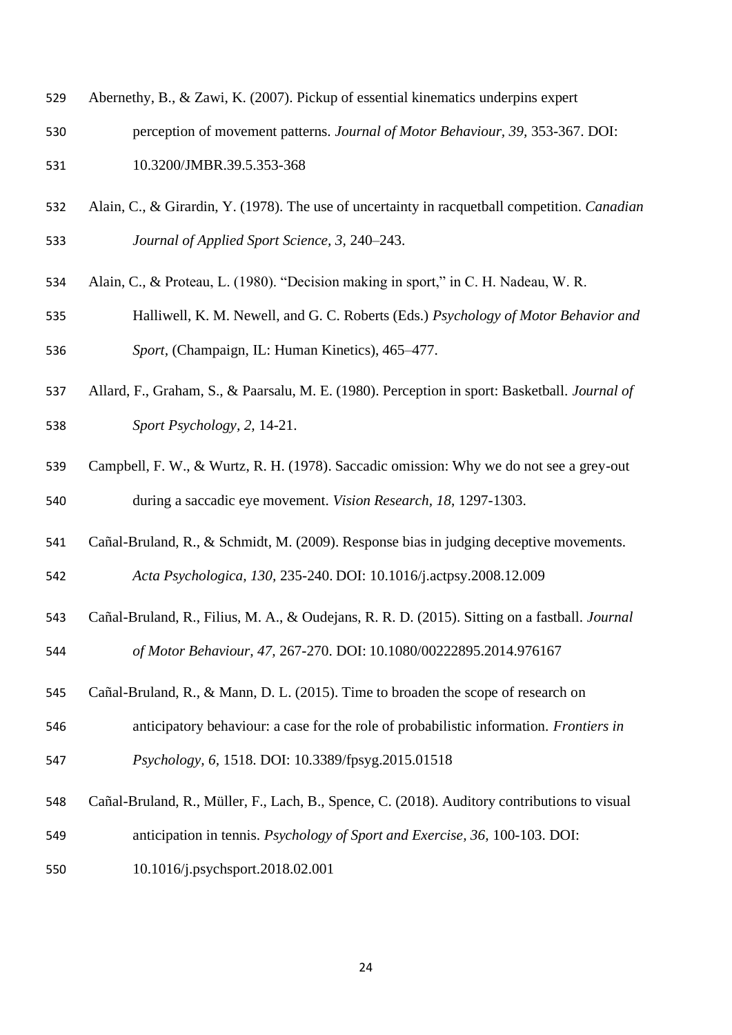- Abernethy, B., & Zawi, K. (2007). Pickup of essential kinematics underpins expert perception of movement patterns. *Journal of Motor Behaviour, 39,* 353-367. DOI: 10.3200/JMBR.39.5.353-368
- Alain, C., & Girardin, Y. (1978). The use of uncertainty in racquetball competition. *Canadian Journal of Applied Sport Science, 3,* 240–243.
- Alain, C., & Proteau, L. (1980). "Decision making in sport," in C. H. Nadeau, W. R.
- Halliwell, K. M. Newell, and G. C. Roberts (Eds.) *Psychology of Motor Behavior and Sport,* (Champaign, IL: Human Kinetics), 465–477.
- Allard, F., Graham, S., & Paarsalu, M. E. (1980). Perception in sport: Basketball. *Journal of Sport Psychology, 2,* 14-21.
- Campbell, F. W., & Wurtz, R. H. (1978). Saccadic omission: Why we do not see a grey-out during a saccadic eye movement. *Vision Research, 18*, 1297-1303.
- Cañal-Bruland, R., & Schmidt, M. (2009). Response bias in judging deceptive movements.

*Acta Psychologica, 130,* 235-240. DOI: 10.1016/j.actpsy.2008.12.009

- Cañal-Bruland, R., Filius, M. A., & Oudejans, R. R. D. (2015). Sitting on a fastball. *Journal of Motor Behaviour, 47,* 267-270. DOI: 10.1080/00222895.2014.976167
- Cañal-Bruland, R., & Mann, D. L. (2015). Time to broaden the scope of research on

anticipatory behaviour: a case for the role of probabilistic information. *Frontiers in* 

- *Psychology, 6,* 1518. DOI: 10.3389/fpsyg.2015.01518
- Cañal-Bruland, R., Müller, F., Lach, B., Spence, C. (2018). Auditory contributions to visual
- anticipation in tennis. *Psychology of Sport and Exercise, 36,* 100-103. DOI:
- 10.1016/j.psychsport.2018.02.001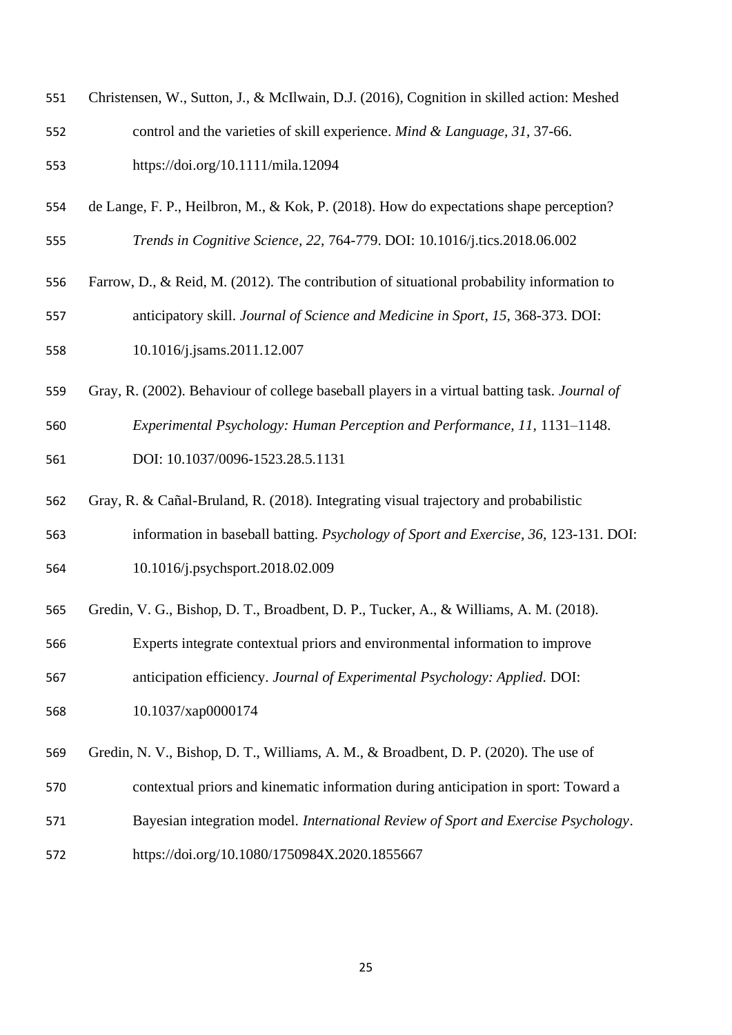| 551 | Christensen, W., Sutton, J., & McIlwain, D.J. (2016), Cognition in skilled action: Meshed |
|-----|-------------------------------------------------------------------------------------------|
| 552 | control and the varieties of skill experience. Mind & Language, 31, 37-66.                |
| 553 | https://doi.org/10.1111/mila.12094                                                        |
| 554 | de Lange, F. P., Heilbron, M., & Kok, P. (2018). How do expectations shape perception?    |

- *Trends in Cognitive Science, 22,* 764-779. DOI: 10.1016/j.tics.2018.06.002
- Farrow, D., & Reid, M. (2012). The contribution of situational probability information to anticipatory skill. *Journal of Science and Medicine in Sport, 15,* 368-373. DOI:
- 10.1016/j.jsams.2011.12.007
- Gray, R. (2002). Behaviour of college baseball players in a virtual batting task. *Journal of Experimental Psychology: Human Perception and Performance, 11,* 1131–1148. DOI: 10.1037/0096-1523.28.5.1131
- Gray, R. & Cañal-Bruland, R. (2018). Integrating visual trajectory and probabilistic information in baseball batting. *Psychology of Sport and Exercise, 36,* 123-131. DOI:
- 10.1016/j.psychsport.2018.02.009
- Gredin, V. G., Bishop, D. T., Broadbent, D. P., Tucker, A., & Williams, A. M. (2018).
- Experts integrate contextual priors and environmental information to improve

anticipation efficiency. *Journal of Experimental Psychology: Applied.* DOI:

10.1037/xap0000174

Gredin, N. V., Bishop, D. T., Williams, A. M., & Broadbent, D. P. (2020). The use of

- contextual priors and kinematic information during anticipation in sport: Toward a
- Bayesian integration model. *International Review of Sport and Exercise Psychology*.
- https://doi.org/10.1080/1750984X.2020.1855667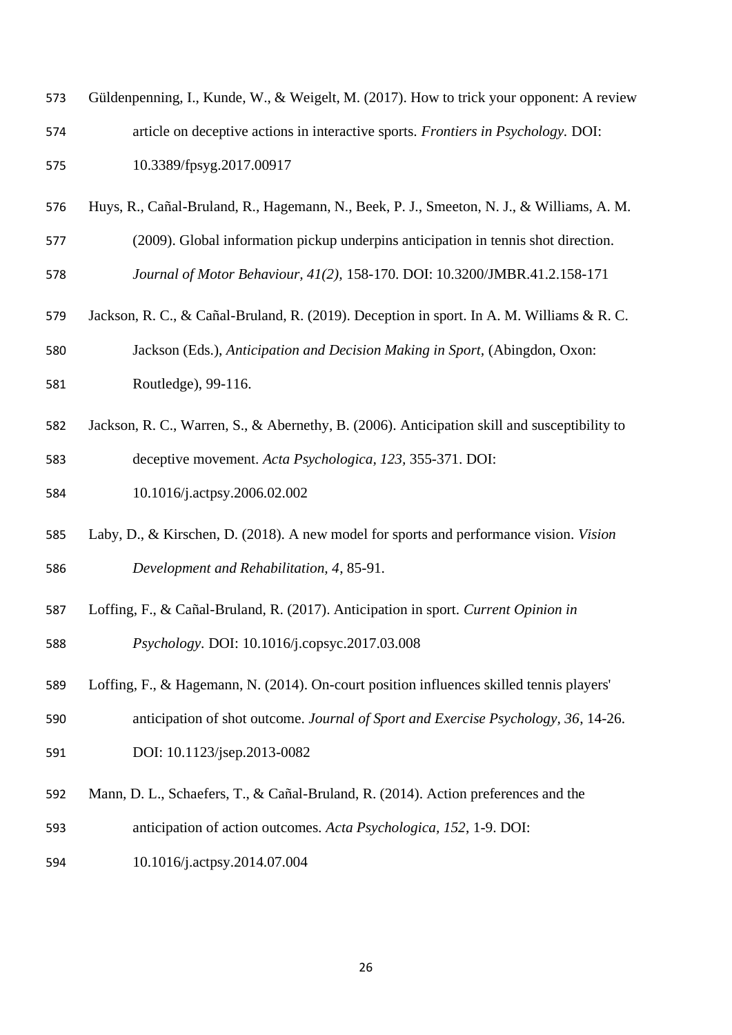| 573 | Güldenpenning, I., Kunde, W., & Weigelt, M. (2017). How to trick your opponent: A review     |
|-----|----------------------------------------------------------------------------------------------|
| 574 | article on deceptive actions in interactive sports. Frontiers in Psychology. DOI:            |
| 575 | 10.3389/fpsyg.2017.00917                                                                     |
| 576 | Huys, R., Cañal-Bruland, R., Hagemann, N., Beek, P. J., Smeeton, N. J., & Williams, A. M.    |
| 577 | (2009). Global information pickup underpins anticipation in tennis shot direction.           |
| 578 | Journal of Motor Behaviour, 41(2), 158-170. DOI: 10.3200/JMBR.41.2.158-171                   |
| 579 | Jackson, R. C., & Cañal-Bruland, R. (2019). Deception in sport. In A. M. Williams & R. C.    |
| 580 | Jackson (Eds.), Anticipation and Decision Making in Sport, (Abingdon, Oxon:                  |
| 581 | Routledge), 99-116.                                                                          |
| 582 | Jackson, R. C., Warren, S., & Abernethy, B. (2006). Anticipation skill and susceptibility to |
| 583 | deceptive movement. Acta Psychologica, 123, 355-371. DOI:                                    |
| 584 | 10.1016/j.actpsy.2006.02.002                                                                 |
| 585 | Laby, D., & Kirschen, D. (2018). A new model for sports and performance vision. Vision       |
| 586 | Development and Rehabilitation, 4, 85-91.                                                    |
| 587 | Loffing, F., & Cañal-Bruland, R. (2017). Anticipation in sport. Current Opinion in           |
| 588 | Psychology. DOI: 10.1016/j.copsyc.2017.03.008                                                |
| 589 | Loffing, F., & Hagemann, N. (2014). On-court position influences skilled tennis players'     |
| 590 | anticipation of shot outcome. Journal of Sport and Exercise Psychology, 36, 14-26.           |
| 591 | DOI: 10.1123/jsep.2013-0082                                                                  |
| 592 | Mann, D. L., Schaefers, T., & Cañal-Bruland, R. (2014). Action preferences and the           |
| 593 | anticipation of action outcomes. Acta Psychologica, 152, 1-9. DOI:                           |
| 594 | 10.1016/j.actpsy.2014.07.004                                                                 |
|     |                                                                                              |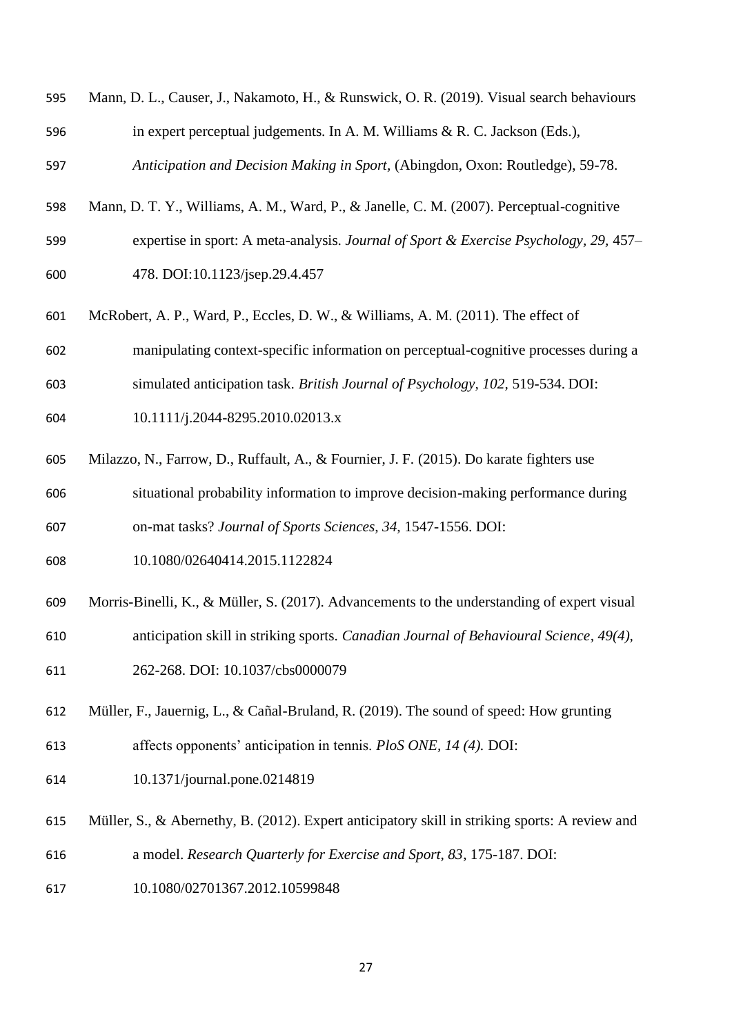| 595 | Mann, D. L., Causer, J., Nakamoto, H., & Runswick, O. R. (2019). Visual search behaviours      |
|-----|------------------------------------------------------------------------------------------------|
| 596 | in expert perceptual judgements. In A. M. Williams & R. C. Jackson (Eds.),                     |
| 597 | Anticipation and Decision Making in Sport, (Abingdon, Oxon: Routledge), 59-78.                 |
| 598 | Mann, D. T. Y., Williams, A. M., Ward, P., & Janelle, C. M. (2007). Perceptual-cognitive       |
| 599 | expertise in sport: A meta-analysis. Journal of Sport & Exercise Psychology, 29, 457–          |
| 600 | 478. DOI:10.1123/jsep.29.4.457                                                                 |
| 601 | McRobert, A. P., Ward, P., Eccles, D. W., & Williams, A. M. (2011). The effect of              |
| 602 | manipulating context-specific information on perceptual-cognitive processes during a           |
| 603 | simulated anticipation task. British Journal of Psychology, 102, 519-534. DOI:                 |
| 604 | 10.1111/j.2044-8295.2010.02013.x                                                               |
| 605 | Milazzo, N., Farrow, D., Ruffault, A., & Fournier, J. F. (2015). Do karate fighters use        |
| 606 | situational probability information to improve decision-making performance during              |
| 607 | on-mat tasks? Journal of Sports Sciences, 34, 1547-1556. DOI:                                  |
| 608 | 10.1080/02640414.2015.1122824                                                                  |
| 609 | Morris-Binelli, K., & Müller, S. (2017). Advancements to the understanding of expert visual    |
| 610 | anticipation skill in striking sports. Canadian Journal of Behavioural Science, 49(4),         |
| 611 | 262-268. DOI: 10.1037/cbs0000079                                                               |
| 612 | Müller, F., Jauernig, L., & Cañal-Bruland, R. (2019). The sound of speed: How grunting         |
| 613 | affects opponents' anticipation in tennis. PloS ONE, 14 (4). DOI:                              |
| 614 | 10.1371/journal.pone.0214819                                                                   |
| 615 | Müller, S., & Abernethy, B. (2012). Expert anticipatory skill in striking sports: A review and |
| 616 | a model. Research Quarterly for Exercise and Sport, 83, 175-187. DOI:                          |
| 617 | 10.1080/02701367.2012.10599848                                                                 |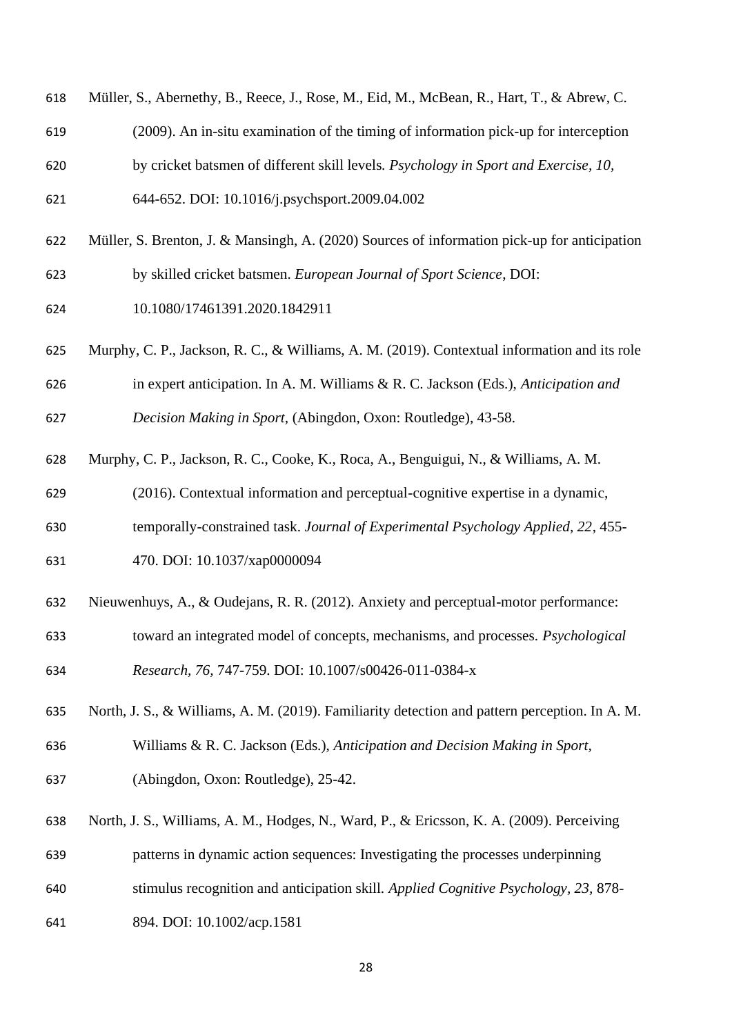| 618 | Müller, S., Abernethy, B., Reece, J., Rose, M., Eid, M., McBean, R., Hart, T., & Abrew, C.   |
|-----|----------------------------------------------------------------------------------------------|
| 619 | (2009). An in-situ examination of the timing of information pick-up for interception         |
| 620 | by cricket batsmen of different skill levels. Psychology in Sport and Exercise, 10,          |
| 621 | 644-652. DOI: 10.1016/j.psychsport.2009.04.002                                               |
| 622 | Müller, S. Brenton, J. & Mansingh, A. (2020) Sources of information pick-up for anticipation |
| 623 | by skilled cricket batsmen. European Journal of Sport Science, DOI:                          |
| 624 | 10.1080/17461391.2020.1842911                                                                |
| 625 | Murphy, C. P., Jackson, R. C., & Williams, A. M. (2019). Contextual information and its role |
| 626 | in expert anticipation. In A. M. Williams & R. C. Jackson (Eds.), Anticipation and           |

*Decision Making in Sport,* (Abingdon, Oxon: Routledge), 43-58.

Murphy, C. P., Jackson, R. C., Cooke, K., Roca, A., Benguigui, N., & Williams, A. M.

(2016). Contextual information and perceptual-cognitive expertise in a dynamic,

temporally-constrained task. *Journal of Experimental Psychology Applied, 22*, 455-

470. DOI: 10.1037/xap0000094

Nieuwenhuys, A., & Oudejans, R. R. (2012). Anxiety and perceptual-motor performance:

toward an integrated model of concepts, mechanisms, and processes. *Psychological* 

*Research, 76,* 747-759. DOI: 10.1007/s00426-011-0384-x

 North, J. S., & Williams, A. M. (2019). Familiarity detection and pattern perception. In A. M. Williams & R. C. Jackson (Eds.), *Anticipation and Decision Making in Sport,*

(Abingdon, Oxon: Routledge), 25-42.

North, J. S., Williams, A. M., Hodges, N., Ward, P., & Ericsson, K. A. (2009). Perceiving

patterns in dynamic action sequences: Investigating the processes underpinning

stimulus recognition and anticipation skill. *Applied Cognitive Psychology, 23,* 878-

894. DOI: 10.1002/acp.1581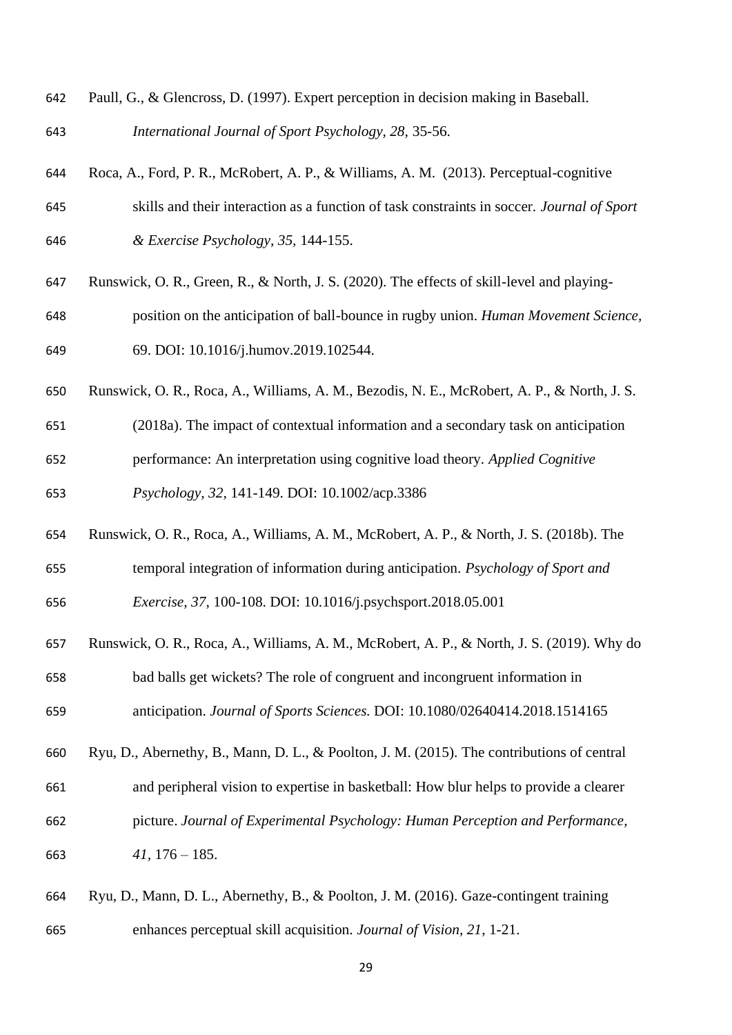- Paull, G., & Glencross, D. (1997). Expert perception in decision making in Baseball. *International Journal of Sport Psychology, 28,* 35-56.
- Roca, A., Ford, P. R., McRobert, A. P., & Williams, A. M. (2013). Perceptual-cognitive skills and their interaction as a function of task constraints in soccer. *Journal of Sport & Exercise Psychology, 35,* 144-155.
- Runswick, O. R., Green, R., & North, J. S. (2020). The effects of skill-level and playing- position on the anticipation of ball-bounce in rugby union. *Human Movement Science,* 69. DOI: 10.1016/j.humov.2019.102544.
- Runswick, O. R., Roca, A., Williams, A. M., Bezodis, N. E., McRobert, A. P., & North, J. S.
- (2018a). The impact of contextual information and a secondary task on anticipation performance: An interpretation using cognitive load theory. *Applied Cognitive*

*Psychology, 32,* 141-149. DOI: 10.1002/acp.3386

- Runswick, O. R., Roca, A., Williams, A. M., McRobert, A. P., & North, J. S. (2018b). The
- temporal integration of information during anticipation. *Psychology of Sport and*

*Exercise, 37,* 100-108. DOI: 10.1016/j.psychsport.2018.05.001

 Runswick, O. R., Roca, A., Williams, A. M., McRobert, A. P., & North, J. S. (2019). Why do bad balls get wickets? The role of congruent and incongruent information in anticipation. *Journal of Sports Sciences.* DOI: 10.1080/02640414.2018.1514165

 Ryu, D., Abernethy, B., Mann, D. L., & Poolton, J. M. (2015). The contributions of central and peripheral vision to expertise in basketball: How blur helps to provide a clearer picture. *Journal of Experimental Psychology: Human Perception and Performance, 41,* 176 – 185.

 Ryu, D., Mann, D. L., Abernethy, B., & Poolton, J. M. (2016). Gaze-contingent training enhances perceptual skill acquisition. *Journal of Vision, 21*, 1-21.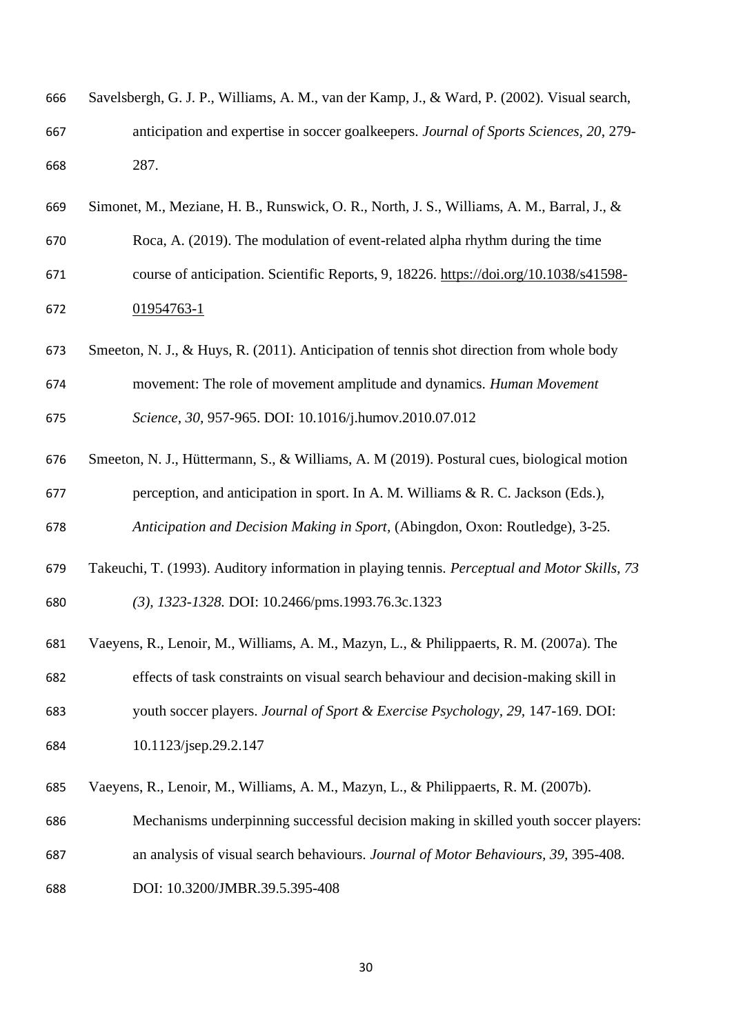| 666 | Savelsbergh, G. J. P., Williams, A. M., van der Kamp, J., & Ward, P. (2002). Visual search, |
|-----|---------------------------------------------------------------------------------------------|
| 667 | anticipation and expertise in soccer goalkeepers. Journal of Sports Sciences, 20, 279-      |
| 668 | 287.                                                                                        |

Simonet, M., Meziane, H. B., Runswick, O. R., North, J. S., Williams, A. M., Barral, J., &

 Roca, A. (2019). The modulation of event-related alpha rhythm during the time course of anticipation. Scientific Reports, 9, 18226. https://doi.org/10.1038/s41598-

01954763-1

 Smeeton, N. J., & Huys, R. (2011). Anticipation of tennis shot direction from whole body movement: The role of movement amplitude and dynamics. *Human Movement Science, 30,* 957-965. DOI: 10.1016/j.humov.2010.07.012

 Smeeton, N. J., Hüttermann, S., & Williams, A. M (2019). Postural cues, biological motion perception, and anticipation in sport. In A. M. Williams & R. C. Jackson (Eds.), *Anticipation and Decision Making in Sport,* (Abingdon, Oxon: Routledge), 3-25.

 Takeuchi, T. (1993). Auditory information in playing tennis. *Perceptual and Motor Skills, 73 (3), 1323-1328.* DOI: 10.2466/pms.1993.76.3c.1323

- Vaeyens, R., Lenoir, M., Williams, A. M., Mazyn, L., & Philippaerts, R. M. (2007a). The effects of task constraints on visual search behaviour and decision-making skill in youth soccer players. *Journal of Sport & Exercise Psychology, 29,* 147-169. DOI:
- Vaeyens, R., Lenoir, M., Williams, A. M., Mazyn, L., & Philippaerts, R. M. (2007b).
- Mechanisms underpinning successful decision making in skilled youth soccer players:
- an analysis of visual search behaviours. *Journal of Motor Behaviours, 39,* 395-408.
- DOI: 10.3200/JMBR.39.5.395-408

10.1123/jsep.29.2.147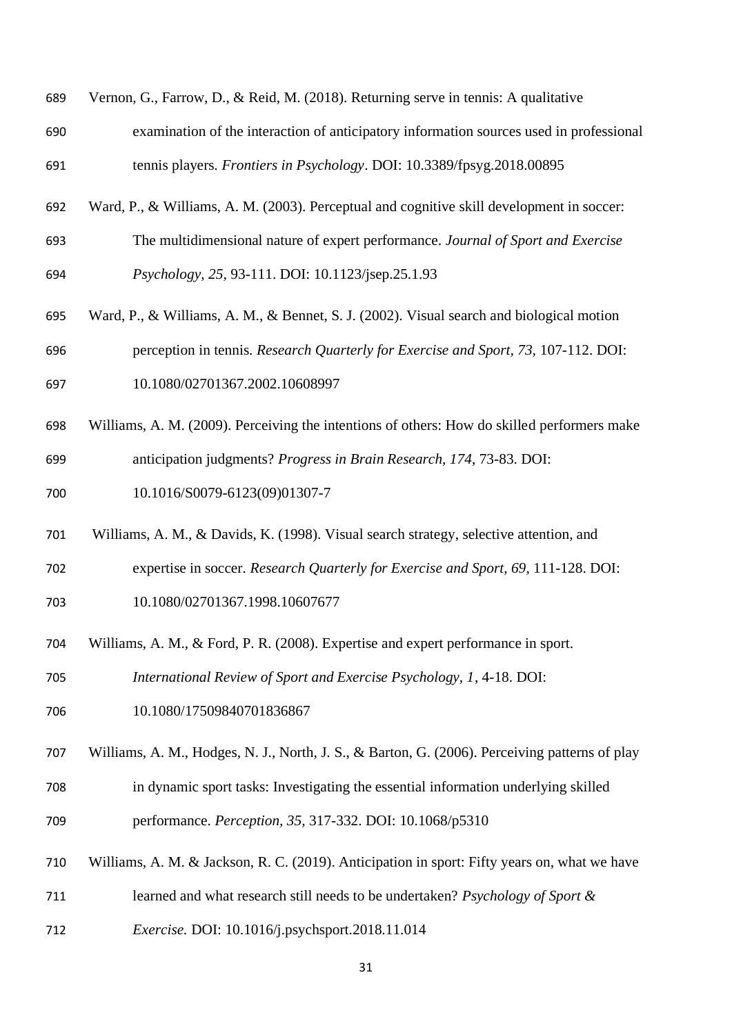| 689 | Vernon, G., Farrow, D., & Reid, M. (2018). Returning serve in tennis: A qualitative            |
|-----|------------------------------------------------------------------------------------------------|
| 690 | examination of the interaction of anticipatory information sources used in professional        |
| 691 | tennis players. Frontiers in Psychology. DOI: 10.3389/fpsyg.2018.00895                         |
| 692 | Ward, P., & Williams, A. M. (2003). Perceptual and cognitive skill development in soccer:      |
| 693 | The multidimensional nature of expert performance. Journal of Sport and Exercise               |
| 694 | Psychology, 25, 93-111. DOI: 10.1123/jsep.25.1.93                                              |
| 695 | Ward, P., & Williams, A. M., & Bennet, S. J. (2002). Visual search and biological motion       |
| 696 | perception in tennis. Research Quarterly for Exercise and Sport, 73, 107-112. DOI:             |
| 697 | 10.1080/02701367.2002.10608997                                                                 |
| 698 | Williams, A. M. (2009). Perceiving the intentions of others: How do skilled performers make    |
| 699 | anticipation judgments? Progress in Brain Research, 174, 73-83. DOI:                           |
| 700 | 10.1016/S0079-6123(09)01307-7                                                                  |
| 701 | Williams, A. M., & Davids, K. (1998). Visual search strategy, selective attention, and         |
| 702 | expertise in soccer. Research Quarterly for Exercise and Sport, 69, 111-128. DOI:              |
| 703 | 10.1080/02701367.1998.10607677                                                                 |
| 704 | Williams, A. M., & Ford, P. R. (2008). Expertise and expert performance in sport.              |
| 705 | International Review of Sport and Exercise Psychology, 1, 4-18. DOI:                           |
| 706 | 10.1080/17509840701836867                                                                      |
| 707 | Williams, A. M., Hodges, N. J., North, J. S., & Barton, G. (2006). Perceiving patterns of play |
| 708 | in dynamic sport tasks: Investigating the essential information underlying skilled             |
| 709 | performance. Perception, 35, 317-332. DOI: 10.1068/p5310                                       |
| 710 | Williams, A. M. & Jackson, R. C. (2019). Anticipation in sport: Fifty years on, what we have   |
| 711 | learned and what research still needs to be undertaken? Psychology of Sport &                  |
| 712 | Exercise. DOI: 10.1016/j.psychsport.2018.11.014                                                |
|     | 31                                                                                             |